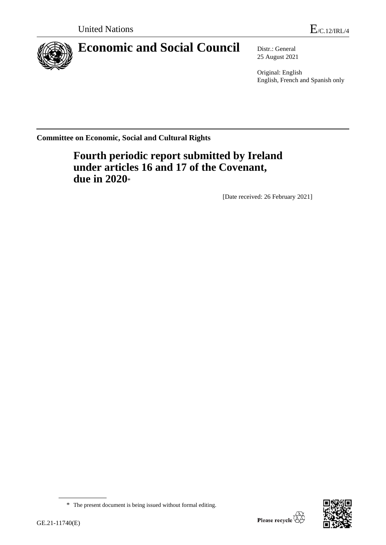

# **Economic and Social Council** Distr.: General

25 August 2021

Original: English English, French and Spanish only

**Committee on Economic, Social and Cultural Rights**

**Fourth periodic report submitted by Ireland under articles 16 and 17 of the Covenant, due in 2020**\*

[Date received: 26 February 2021]



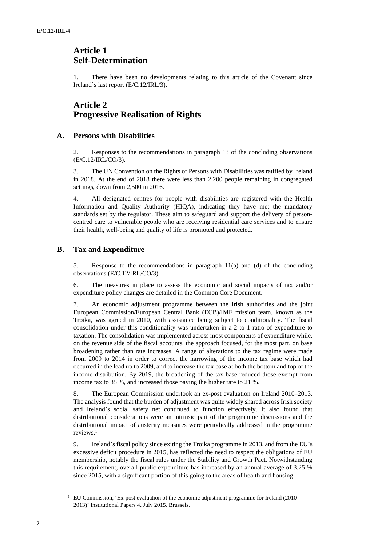## **Article 1 Self-Determination**

1. There have been no developments relating to this article of the Covenant since Ireland's last report (E/C.12/IRL/3).

## **Article 2 Progressive Realisation of Rights**

## **A. Persons with Disabilities**

2. Responses to the recommendations in paragraph 13 of the concluding observations (E/C.12/IRL/CO/3).

3. The UN Convention on the Rights of Persons with Disabilities was ratified by Ireland in 2018. At the end of 2018 there were less than 2,200 people remaining in congregated settings, down from 2,500 in 2016.

4. All designated centres for people with disabilities are registered with the Health Information and Quality Authority (HIQA), indicating they have met the mandatory standards set by the regulator. These aim to safeguard and support the delivery of personcentred care to vulnerable people who are receiving residential care services and to ensure their health, well-being and quality of life is promoted and protected.

## **B. Tax and Expenditure**

5. Response to the recommendations in paragraph 11(a) and (d) of the concluding observations (E/C.12/IRL/CO/3).

6. The measures in place to assess the economic and social impacts of tax and/or expenditure policy changes are detailed in the Common Core Document.

7. An economic adjustment programme between the Irish authorities and the joint European Commission/European Central Bank (ECB)/IMF mission team, known as the Troika, was agreed in 2010, with assistance being subject to conditionality. The fiscal consolidation under this conditionality was undertaken in a 2 to 1 ratio of expenditure to taxation. The consolidation was implemented across most components of expenditure while, on the revenue side of the fiscal accounts, the approach focused, for the most part, on base broadening rather than rate increases. A range of alterations to the tax regime were made from 2009 to 2014 in order to correct the narrowing of the income tax base which had occurred in the lead up to 2009, and to increase the tax base at both the bottom and top of the income distribution. By 2019, the broadening of the tax base reduced those exempt from income tax to 35 %, and increased those paying the higher rate to 21 %.

8. The European Commission undertook an ex-post evaluation on Ireland 2010–2013. The analysis found that the burden of adjustment was quite widely shared across Irish society and Ireland's social safety net continued to function effectively. It also found that distributional considerations were an intrinsic part of the programme discussions and the distributional impact of austerity measures were periodically addressed in the programme reviews.<sup>1</sup>

9. Ireland's fiscal policy since exiting the Troika programme in 2013, and from the EU's excessive deficit procedure in 2015, has reflected the need to respect the obligations of EU membership, notably the fiscal rules under the Stability and Growth Pact. Notwithstanding this requirement, overall public expenditure has increased by an annual average of 3.25 % since 2015, with a significant portion of this going to the areas of health and housing.

<sup>&</sup>lt;sup>1</sup> EU Commission, 'Ex-post evaluation of the economic adjustment programme for Ireland (2010-2013)' Institutional Papers 4**.** July 2015. Brussels.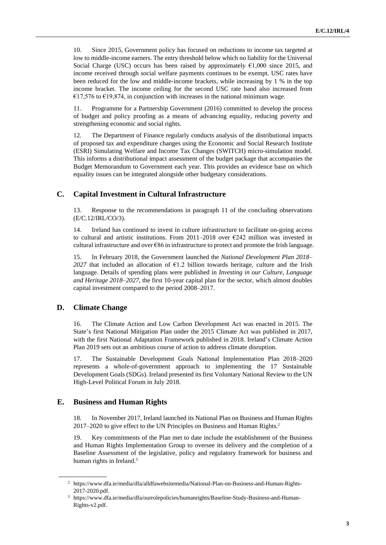10. Since 2015, Government policy has focused on reductions to income tax targeted at low to middle-income earners. The entry threshold below which no liability for the Universal Social Charge (USC) occurs has been raised by approximately  $€1,000$  since 2015, and income received through social welfare payments continues to be exempt. USC rates have been reduced for the low and middle-income brackets, while increasing by 1 % in the top income bracket. The income ceiling for the second USC rate band also increased from €17,576 to €19,874, in conjunction with increases in the national minimum wage.

11. Programme for a Partnership Government (2016) committed to develop the process of budget and policy proofing as a means of advancing equality, reducing poverty and strengthening economic and social rights.

12. The Department of Finance regularly conducts analysis of the distributional impacts of proposed tax and expenditure changes using the Economic and Social Research Institute (ESRI) Simulating Welfare and Income Tax Changes (SWITCH) micro-simulation model. This informs a distributional impact assessment of the budget package that accompanies the Budget Memorandum to Government each year. This provides an evidence base on which equality issues can be integrated alongside other budgetary considerations.

## **C. Capital Investment in Cultural Infrastructure**

13. Response to the recommendations in paragraph 11 of the concluding observations (E/C.12/IRL/CO/3).

14. Ireland has continued to invest in culture infrastructure to facilitate on-going access to cultural and artistic institutions. From  $2011-2018$  over  $\epsilon$ 242 million was invested in cultural infrastructure and over €86 in infrastructure to protect and promote the Irish language.

15. In February 2018, the Government launched the *National Development Plan 2018–* 2027 that included an allocation of  $E1.2$  billion towards heritage, culture and the Irish language. Details of spending plans were published in *Investing in our Culture, Language and Heritage 2018–2027*, the first 10-year capital plan for the sector, which almost doubles capital investment compared to the period 2008–2017.

## **D. Climate Change**

16. The Climate Action and Low Carbon Development Act was enacted in 2015. The State's first National Mitigation Plan under the 2015 Climate Act was published in 2017, with the first National Adaptation Framework published in 2018. Ireland's Climate Action Plan 2019 sets out an ambitious course of action to address climate disruption.

17. The Sustainable Development Goals National Implementation Plan 2018–2020 represents a whole-of-government approach to implementing the 17 Sustainable Development Goals (SDGs). Ireland presented its first Voluntary National Review to the UN High-Level Political Forum in July 2018.

## **E. Business and Human Rights**

18. In November 2017, Ireland launched its National Plan on Business and Human Rights 2017–2020 to give effect to the UN Principles on Business and Human Rights.<sup>2</sup>

19. Key commitments of the Plan met to date include the establishment of the Business and Human Rights Implementation Group to oversee its delivery and the completion of a Baseline Assessment of the legislative, policy and regulatory framework for business and human rights in Ireland.<sup>3</sup>

<sup>2</sup> https://www.dfa.ie/media/dfa/alldfawebsitemedia/National-Plan-on-Business-and-Human-Rights-2017-2020.pdf.

<sup>3</sup> https://www.dfa.ie/media/dfa/ourrolepolicies/humanrights/Baseline-Study-Business-and-Human-Rights-v2.pdf.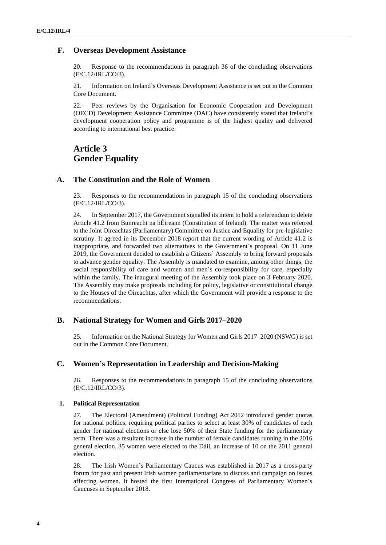## **F. Overseas Development Assistance**

20. Response to the recommendations in paragraph 36 of the concluding observations (E/C.12/IRL/CO/3).

21. Information on Ireland's Overseas Development Assistance is set out in the Common Core Document.

22. Peer reviews by the Organisation for Economic Cooperation and Development (OECD) Development Assistance Committee (DAC) have consistently stated that Ireland's development cooperation policy and programme is of the highest quality and delivered according to international best practice.

## **Article 3 Gender Equality**

## **A. The Constitution and the Role of Women**

23. Responses to the recommendations in paragraph 15 of the concluding observations (E/C.12/IRL/CO/3).

24. In September 2017, the Government signalled its intent to hold a referendum to delete Article 41.2 from Bunreacht na hÉireann (Constitution of Ireland). The matter was referred to the Joint Oireachtas (Parliamentary) Committee on Justice and Equality for pre-legislative scrutiny. It agreed in its December 2018 report that the current wording of Article 41.2 is inappropriate, and forwarded two alternatives to the Government's proposal. On 11 June 2019, the Government decided to establish a Citizens' Assembly to bring forward proposals to advance gender equality. The Assembly is mandated to examine, among other things, the social responsibility of care and women and men's co-responsibility for care, especially within the family. The inaugural meeting of the Assembly took place on 3 February 2020. The Assembly may make proposals including for policy, legislative or constitutional change to the Houses of the Oireachtas, after which the Government will provide a response to the recommendations.

## **B. National Strategy for Women and Girls 2017–2020**

25. Information on the National Strategy for Women and Girls 2017–2020 (NSWG) is set out in the Common Core Document.

## **C. Women's Representation in Leadership and Decision-Making**

26. Responses to the recommendations in paragraph 15 of the concluding observations (E/C.12/IRL/CO/3).

#### **1. Political Representation**

27. The Electoral (Amendment) (Political Funding) Act 2012 introduced gender quotas for national politics, requiring political parties to select at least 30% of candidates of each gender for national elections or else lose 50% of their State funding for the parliamentary term. There was a resultant increase in the number of female candidates running in the 2016 general election. 35 women were elected to the Dáil, an increase of 10 on the 2011 general election.

28. The Irish Women's Parliamentary Caucus was established in 2017 as a cross-party forum for past and present Irish women parliamentarians to discuss and campaign on issues affecting women. It hosted the first International Congress of Parliamentary Women's Caucuses in September 2018.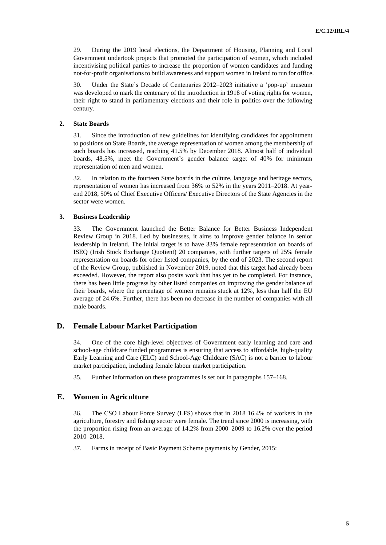29. During the 2019 local elections, the Department of Housing, Planning and Local Government undertook projects that promoted the participation of women, which included incentivising political parties to increase the proportion of women candidates and funding not-for-profit organisations to build awareness and support women in Ireland to run for office.

30. Under the State's Decade of Centenaries 2012–2023 initiative a 'pop-up' museum was developed to mark the centenary of the introduction in 1918 of voting rights for women, their right to stand in parliamentary elections and their role in politics over the following century.

### **2. State Boards**

31. Since the introduction of new guidelines for identifying candidates for appointment to positions on State Boards, the average representation of women among the membership of such boards has increased, reaching 41.5% by December 2018. Almost half of individual boards, 48.5%, meet the Government's gender balance target of 40% for minimum representation of men and women.

32. In relation to the fourteen State boards in the culture, language and heritage sectors, representation of women has increased from 36% to 52% in the years 2011–2018. At yearend 2018, 50% of Chief Executive Officers/ Executive Directors of the State Agencies in the sector were women.

#### **3. Business Leadership**

33. The Government launched the Better Balance for Better Business Independent Review Group in 2018. Led by businesses, it aims to improve gender balance in senior leadership in Ireland. The initial target is to have 33% female representation on boards of ISEQ (Irish Stock Exchange Quotient) 20 companies, with further targets of 25% female representation on boards for other listed companies, by the end of 2023. The second report of the Review Group, published in November 2019, noted that this target had already been exceeded. However, the report also posits work that has yet to be completed. For instance, there has been little progress by other listed companies on improving the gender balance of their boards, where the percentage of women remains stuck at 12%, less than half the EU average of 24.6%. Further, there has been no decrease in the number of companies with all male boards.

## **D. Female Labour Market Participation**

34. One of the core high-level objectives of Government early learning and care and school-age childcare funded programmes is ensuring that access to affordable, high-quality Early Learning and Care (ELC) and School-Age Childcare (SAC) is not a barrier to labour market participation, including female labour market participation.

35. Further information on these programmes is set out in paragraphs 157–168.

## **E. Women in Agriculture**

36. The CSO Labour Force Survey (LFS) shows that in 2018 16.4% of workers in the agriculture, forestry and fishing sector were female. The trend since 2000 is increasing, with the proportion rising from an average of 14.2% from 2000–2009 to 16.2% over the period 2010–2018.

37. Farms in receipt of Basic Payment Scheme payments by Gender, 2015: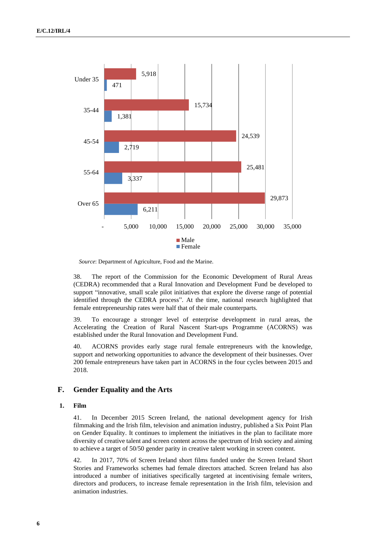

*Source*: Department of Agriculture, Food and the Marine.

38. The report of the Commission for the Economic Development of Rural Areas (CEDRA) recommended that a Rural Innovation and Development Fund be developed to support "innovative, small scale pilot initiatives that explore the diverse range of potential identified through the CEDRA process". At the time, national research highlighted that female entrepreneurship rates were half that of their male counterparts.

39. To encourage a stronger level of enterprise development in rural areas, the Accelerating the Creation of Rural Nascent Start-ups Programme (ACORNS) was established under the Rural Innovation and Development Fund.

40. ACORNS provides early stage rural female entrepreneurs with the knowledge, support and networking opportunities to advance the development of their businesses. Over 200 female entrepreneurs have taken part in ACORNS in the four cycles between 2015 and 2018.

## **F. Gender Equality and the Arts**

#### **1. Film**

41. In December 2015 Screen Ireland, the national development agency for Irish filmmaking and the Irish film, television and animation industry, published a Six Point Plan on Gender Equality. It continues to implement the initiatives in the plan to facilitate more diversity of creative talent and screen content across the spectrum of Irish society and aiming to achieve a target of 50/50 gender parity in creative talent working in screen content.

42. In 2017, 70% of Screen Ireland short films funded under the Screen Ireland Short Stories and Frameworks schemes had female directors attached. Screen Ireland has also introduced a number of initiatives specifically targeted at incentivising female writers, directors and producers, to increase female representation in the Irish film, television and animation industries.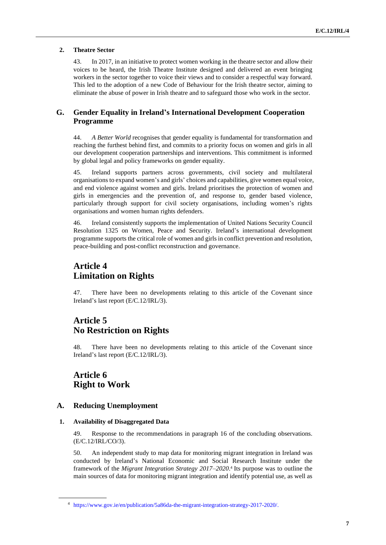### **2. Theatre Sector**

43. In 2017, in an initiative to protect women working in the theatre sector and allow their voices to be heard, the Irish Theatre Institute designed and delivered an event bringing workers in the sector together to voice their views and to consider a respectful way forward. This led to the adoption of a new Code of Behaviour for the Irish theatre sector, aiming to eliminate the abuse of power in Irish theatre and to safeguard those who work in the sector.

## **G. Gender Equality in Ireland's International Development Cooperation Programme**

44. *A Better World* recognises that gender equality is fundamental for transformation and reaching the furthest behind first, and commits to a priority focus on women and girls in all our development cooperation partnerships and interventions. This commitment is informed by global legal and policy frameworks on gender equality.

45. Ireland supports partners across governments, civil society and multilateral organisations to expand women's and girls' choices and capabilities, give women equal voice, and end violence against women and girls. Ireland prioritises the protection of women and girls in emergencies and the prevention of, and response to, gender based violence, particularly through support for civil society organisations, including women's rights organisations and women human rights defenders.

46. Ireland consistently supports the implementation of United Nations Security Council Resolution 1325 on Women, Peace and Security. Ireland's international development programme supports the critical role of women and girls in conflict prevention and resolution, peace-building and post-conflict reconstruction and governance.

## **Article 4 Limitation on Rights**

47. There have been no developments relating to this article of the Covenant since Ireland's last report (E/C.12/IRL/3).

## **Article 5 No Restriction on Rights**

48. There have been no developments relating to this article of the Covenant since Ireland's last report (E/C.12/IRL/3).

## **Article 6 Right to Work**

## **A. Reducing Unemployment**

## **1. Availability of Disaggregated Data**

49. Response to the recommendations in paragraph 16 of the concluding observations. (E/C.12/IRL/CO/3).

50. An independent study to map data for monitoring migrant integration in Ireland was conducted by Ireland's National Economic and Social Research Institute under the framework of the *Migrant Integration Strategy 2017–2020*. 4 Its purpose was to outline the main sources of data for monitoring migrant integration and identify potential use, as well as

<sup>4</sup> [https://www.gov.ie/en/publication/5a86da-the-migrant-integration-strategy-2017-2020/.](https://www.gov.ie/en/publication/5a86da-the-migrant-integration-strategy-2017-2020/)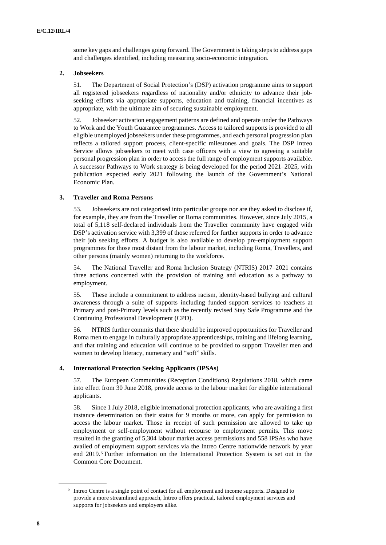some key gaps and challenges going forward. The Government is taking steps to address gaps and challenges identified, including measuring socio-economic integration.

#### **2. Jobseekers**

51. The Department of Social Protection's (DSP) activation programme aims to support all registered jobseekers regardless of nationality and/or ethnicity to advance their jobseeking efforts via appropriate supports, education and training, financial incentives as appropriate, with the ultimate aim of securing sustainable employment.

52. Jobseeker activation engagement patterns are defined and operate under the Pathways to Work and the Youth Guarantee programmes. Access to tailored supports is provided to all eligible unemployed jobseekers under these programmes, and each personal progression plan reflects a tailored support process, client-specific milestones and goals. The DSP Intreo Service allows jobseekers to meet with case officers with a view to agreeing a suitable personal progression plan in order to access the full range of employment supports available. A successor Pathways to Work strategy is being developed for the period 2021–2025, with publication expected early 2021 following the launch of the Government's National Economic Plan.

#### **3. Traveller and Roma Persons**

53. Jobseekers are not categorised into particular groups nor are they asked to disclose if, for example, they are from the Traveller or Roma communities. However, since July 2015, a total of 5,118 self-declared individuals from the Traveller community have engaged with DSP's activation service with 3,399 of those referred for further supports in order to advance their job seeking efforts. A budget is also available to develop pre-employment support programmes for those most distant from the labour market, including Roma, Travellers, and other persons (mainly women) returning to the workforce.

54. The National Traveller and Roma Inclusion Strategy (NTRIS) 2017–2021 contains three actions concerned with the provision of training and education as a pathway to employment.

55. These include a commitment to address racism, identity-based bullying and cultural awareness through a suite of supports including funded support services to teachers at Primary and post-Primary levels such as the recently revised Stay Safe Programme and the Continuing Professional Development (CPD).

56. NTRIS further commits that there should be improved opportunities for Traveller and Roma men to engage in culturally appropriate apprenticeships, training and lifelong learning, and that training and education will continue to be provided to support Traveller men and women to develop literacy, numeracy and "soft" skills.

#### **4. International Protection Seeking Applicants (IPSAs)**

57. The European Communities (Reception Conditions) Regulations 2018, which came into effect from 30 June 2018, provide access to the labour market for eligible international applicants.

58. Since 1 July 2018, eligible international protection applicants, who are awaiting a first instance determination on their status for 9 months or more, can apply for permission to access the labour market. Those in receipt of such permission are allowed to take up employment or self-employment without recourse to employment permits. This move resulted in the granting of 5,304 labour market access permissions and 558 IPSAs who have availed of employment support services via the Intreo Centre nationwide network by year end 2019.<sup>5</sup> Further information on the International Protection System is set out in the Common Core Document.

<sup>&</sup>lt;sup>5</sup> Intreo Centre is a single point of contact for all employment and income supports. Designed to provide a more streamlined approach, Intreo offers practical, tailored employment services and supports for jobseekers and employers alike.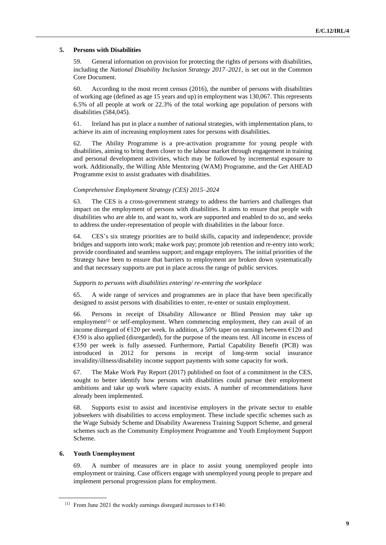#### **5. Persons with Disabilities**

59. General information on provision for protecting the rights of persons with disabilities, including the *National Disability Inclusion Strategy 2017–2021*, is set out in the Common Core Document.

60. According to the most recent census (2016), the number of persons with disabilities of working age (defined as age 15 years and up) in employment was 130,067. This represents 6.5% of all people at work or 22.3% of the total working age population of persons with disabilities (584,045).

61. Ireland has put in place a number of national strategies, with implementation plans, to achieve its aim of increasing employment rates for persons with disabilities.

62. The Ability Programme is a pre-activation programme for young people with disabilities, aiming to bring them closer to the labour market through engagement in training and personal development activities, which may be followed by incremental exposure to work. Additionally, the Willing Able Mentoring (WAM) Programme, and the Get AHEAD Programme exist to assist graduates with disabilities.

#### *Comprehensive Employment Strategy (CES) 2015–2024*

63. The CES is a cross-government strategy to address the barriers and challenges that impact on the employment of persons with disabilities. It aims to ensure that people with disabilities who are able to, and want to, work are supported and enabled to do so, and seeks to address the under-representation of people with disabilities in the labour force.

64. CES's six strategy priorities are to build skills, capacity and independence; provide bridges and supports into work; make work pay; promote job retention and re-entry into work; provide coordinated and seamless support; and engage employers. The initial priorities of the Strategy have been to ensure that barriers to employment are broken down systematically and that necessary supports are put in place across the range of public services.

#### *Supports to persons with disabilities entering/ re-entering the workplace*

65. A wide range of services and programmes are in place that have been specifically designed to assist persons with disabilities to enter, re-enter or sustain employment.

66. Persons in receipt of Disability Allowance or Blind Pension may take up employment<sup>[1]</sup> or self-employment. When commencing employment, they can avail of an income disregard of  $\epsilon$ 120 per week. In addition, a 50% taper on earnings between  $\epsilon$ 120 and €350 is also applied (disregarded), for the purpose of the means test. All income in excess of €350 per week is fully assessed. Furthermore, Partial Capability Benefit (PCB) was introduced in 2012 for persons in receipt of long-term social insurance invalidity/illness/disability income support payments with some capacity for work.

67. The Make Work Pay Report (2017) published on foot of a commitment in the CES, sought to better identify how persons with disabilities could pursue their employment ambitions and take up work where capacity exists. A number of recommendations have already been implemented.

68. Supports exist to assist and incentivise employers in the private sector to enable jobseekers with disabilities to access employment. These include specific schemes such as the Wage Subsidy Scheme and Disability Awareness Training Support Scheme, and general schemes such as the Community Employment Programme and Youth Employment Support Scheme.

#### **6. Youth Unemployment**

69. A number of measures are in place to assist young unemployed people into employment or training. Case officers engage with unemployed young people to prepare and implement personal progression plans for employment.

<sup>[1]</sup> From June 2021 the weekly earnings disregard increases to  $\epsilon$ 140.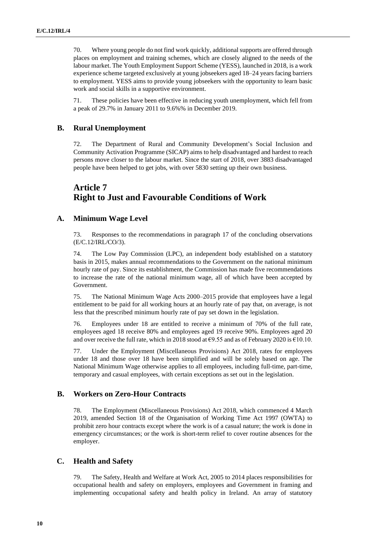70. Where young people do not find work quickly, additional supports are offered through places on employment and training schemes, which are closely aligned to the needs of the labour market. The Youth Employment Support Scheme (YESS), launched in 2018, is a work experience scheme targeted exclusively at young jobseekers aged 18–24 years facing barriers to employment. YESS aims to provide young jobseekers with the opportunity to learn basic work and social skills in a supportive environment.

71. These policies have been effective in reducing youth unemployment, which fell from a peak of 29.7% in January 2011 to 9.6%% in December 2019.

## **B. Rural Unemployment**

72. The Department of Rural and Community Development's Social Inclusion and Community Activation Programme (SICAP) aims to help disadvantaged and hardest to reach persons move closer to the labour market. Since the start of 2018, over 3883 disadvantaged people have been helped to get jobs, with over 5830 setting up their own business.

## **Article 7 Right to Just and Favourable Conditions of Work**

### **A. Minimum Wage Level**

73. Responses to the recommendations in paragraph 17 of the concluding observations (E/C.12/IRL/CO/3).

74. The Low Pay Commission (LPC), an independent body established on a statutory basis in 2015, makes annual recommendations to the Government on the national minimum hourly rate of pay. Since its establishment, the Commission has made five recommendations to increase the rate of the national minimum wage, all of which have been accepted by Government.

75. The National Minimum Wage Acts 2000–2015 provide that employees have a legal entitlement to be paid for all working hours at an hourly rate of pay that, on average, is not less that the prescribed minimum hourly rate of pay set down in the legislation.

76. Employees under 18 are entitled to receive a minimum of 70% of the full rate, employees aged 18 receive 80% and employees aged 19 receive 90%. Employees aged 20 and over receive the full rate, which in 2018 stood at  $\epsilon$ 9.55 and as of February 2020 is  $\epsilon$ 10.10.

77. Under the Employment (Miscellaneous Provisions) Act 2018, rates for employees under 18 and those over 18 have been simplified and will be solely based on age. The National Minimum Wage otherwise applies to all employees, including full-time, part-time, temporary and casual employees, with certain exceptions as set out in the legislation.

## **B. Workers on Zero-Hour Contracts**

78. The Employment (Miscellaneous Provisions) Act 2018, which commenced 4 March 2019, amended Section 18 of the Organisation of Working Time Act 1997 (OWTA) to prohibit zero hour contracts except where the work is of a casual nature; the work is done in emergency circumstances; or the work is short-term relief to cover routine absences for the employer.

## **C. Health and Safety**

79. The Safety, Health and Welfare at Work Act, 2005 to 2014 places responsibilities for occupational health and safety on employers, employees and Government in framing and implementing occupational safety and health policy in Ireland. An array of statutory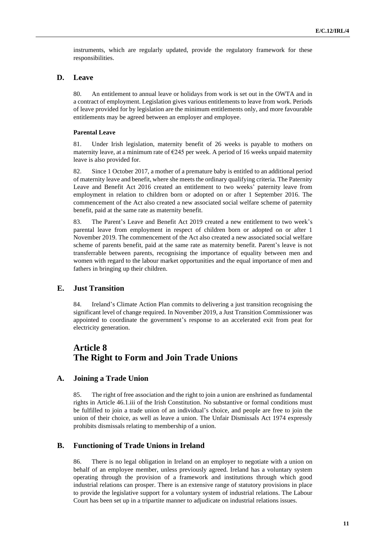instruments, which are regularly updated, provide the regulatory framework for these responsibilities.

## **D. Leave**

80. An entitlement to annual leave or holidays from work is set out in the OWTA and in a contract of employment. Legislation gives various entitlements to leave from work. Periods of leave provided for by legislation are the minimum entitlements only, and more favourable entitlements may be agreed between an employer and employee.

#### **Parental Leave**

81. Under Irish legislation, maternity benefit of 26 weeks is payable to mothers on maternity leave, at a minimum rate of  $E245$  per week. A period of 16 weeks unpaid maternity leave is also provided for.

82. Since 1 October 2017, a mother of a premature baby is entitled to an additional period of maternity leave and benefit, where she meets the ordinary qualifying criteria. The Paternity Leave and Benefit Act 2016 created an entitlement to two weeks' paternity leave from employment in relation to children born or adopted on or after 1 September 2016. The commencement of the Act also created a new associated social welfare scheme of paternity benefit, paid at the same rate as maternity benefit.

83. The Parent's Leave and Benefit Act 2019 created a new entitlement to two week's parental leave from employment in respect of children born or adopted on or after 1 November 2019. The commencement of the Act also created a new associated social welfare scheme of parents benefit, paid at the same rate as maternity benefit. Parent's leave is not transferrable between parents, recognising the importance of equality between men and women with regard to the labour market opportunities and the equal importance of men and fathers in bringing up their children.

## **E. Just Transition**

84. Ireland's Climate Action Plan commits to delivering a just transition recognising the significant level of change required. In November 2019, a Just Transition Commissioner was appointed to coordinate the government's response to an accelerated exit from peat for electricity generation.

## **Article 8 The Right to Form and Join Trade Unions**

## **A. Joining a Trade Union**

85. The right of free association and the right to join a union are enshrined as fundamental rights in Article 46.1.iii of the Irish Constitution. No substantive or formal conditions must be fulfilled to join a trade union of an individual's choice, and people are free to join the union of their choice, as well as leave a union. The Unfair Dismissals Act 1974 expressly prohibits dismissals relating to membership of a union.

#### **B. Functioning of Trade Unions in Ireland**

86. There is no legal obligation in Ireland on an employer to negotiate with a union on behalf of an employee member, unless previously agreed. Ireland has a voluntary system operating through the provision of a framework and institutions through which good industrial relations can prosper. There is an extensive range of statutory provisions in place to provide the legislative support for a voluntary system of industrial relations. The Labour Court has been set up in a tripartite manner to adjudicate on industrial relations issues.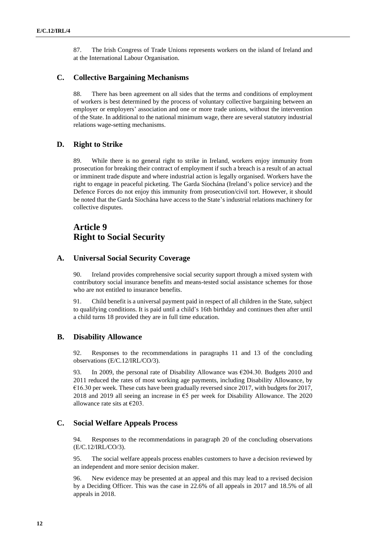87. The Irish Congress of Trade Unions represents workers on the island of Ireland and at the International Labour Organisation.

## **C. Collective Bargaining Mechanisms**

88. There has been agreement on all sides that the terms and conditions of employment of workers is best determined by the process of voluntary collective bargaining between an employer or employers' association and one or more trade unions, without the intervention of the State. In additional to the national minimum wage, there are several statutory industrial relations wage-setting mechanisms.

### **D. Right to Strike**

89. While there is no general right to strike in Ireland, workers enjoy immunity from prosecution for breaking their contract of employment if such a breach is a result of an actual or imminent trade dispute and where industrial action is legally organised. Workers have the right to engage in peaceful picketing. The Garda Síochána (Ireland's police service) and the Defence Forces do not enjoy this immunity from prosecution/civil tort. However, it should be noted that the Garda Síochána have access to the State's industrial relations machinery for collective disputes.

## **Article 9 Right to Social Security**

## **A. Universal Social Security Coverage**

90. Ireland provides comprehensive social security support through a mixed system with contributory social insurance benefits and means-tested social assistance schemes for those who are not entitled to insurance benefits.

91. Child benefit is a universal payment paid in respect of all children in the State, subject to qualifying conditions. It is paid until a child's 16th birthday and continues then after until a child turns 18 provided they are in full time education.

### **B. Disability Allowance**

92. Responses to the recommendations in paragraphs 11 and 13 of the concluding observations (E/C.12/IRL/CO/3).

93. In 2009, the personal rate of Disability Allowance was €204.30. Budgets 2010 and 2011 reduced the rates of most working age payments, including Disability Allowance, by €16.30 per week. These cuts have been gradually reversed since 2017, with budgets for 2017, 2018 and 2019 all seeing an increase in  $\epsilon$ 5 per week for Disability Allowance. The 2020 allowance rate sits at  $\epsilon$ 203.

### **C. Social Welfare Appeals Process**

94. Responses to the recommendations in paragraph 20 of the concluding observations (E/C.12/IRL/CO/3).

95. The social welfare appeals process enables customers to have a decision reviewed by an independent and more senior decision maker.

96. New evidence may be presented at an appeal and this may lead to a revised decision by a Deciding Officer. This was the case in 22.6% of all appeals in 2017 and 18.5% of all appeals in 2018.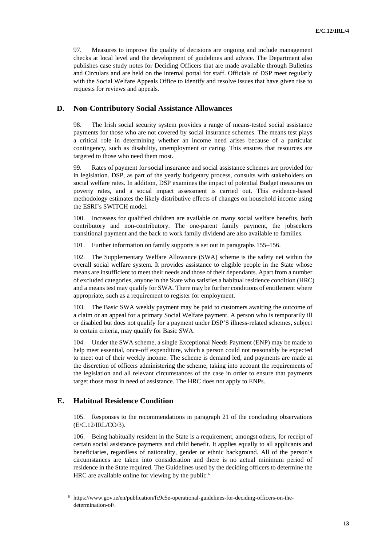97. Measures to improve the quality of decisions are ongoing and include management checks at local level and the development of guidelines and advice. The Department also publishes case study notes for Deciding Officers that are made available through Bulletins and Circulars and are held on the internal portal for staff. Officials of DSP meet regularly with the Social Welfare Appeals Office to identify and resolve issues that have given rise to requests for reviews and appeals.

## **D. Non-Contributory Social Assistance Allowances**

98. The Irish social security system provides a range of means-tested social assistance payments for those who are not covered by social insurance schemes. The means test plays a critical role in determining whether an income need arises because of a particular contingency, such as disability, unemployment or caring. This ensures that resources are targeted to those who need them most.

99. Rates of payment for social insurance and social assistance schemes are provided for in legislation. DSP, as part of the yearly budgetary process, consults with stakeholders on social welfare rates. In addition, DSP examines the impact of potential Budget measures on poverty rates, and a social impact assessment is carried out. This evidence-based methodology estimates the likely distributive effects of changes on household income using the ESRI's SWITCH model.

100. Increases for qualified children are available on many social welfare benefits, both contributory and non-contributory. The one-parent family payment, the jobseekers transitional payment and the back to work family dividend are also available to families.

101. Further information on family supports is set out in paragraphs 155–156.

102. The Supplementary Welfare Allowance (SWA) scheme is the safety net within the overall social welfare system. It provides assistance to eligible people in the State whose means are insufficient to meet their needs and those of their dependants. Apart from a number of excluded categories, anyone in the State who satisfies a habitual residence condition (HRC) and a means test may qualify for SWA. There may be further conditions of entitlement where appropriate, such as a requirement to register for employment.

103. The Basic SWA weekly payment may be paid to customers awaiting the outcome of a claim or an appeal for a primary Social Welfare payment. A person who is temporarily ill or disabled but does not qualify for a payment under DSP'S illness-related schemes, subject to certain criteria, may qualify for Basic SWA.

104. Under the SWA scheme, a single Exceptional Needs Payment (ENP) may be made to help meet essential, once-off expenditure, which a person could not reasonably be expected to meet out of their weekly income. The scheme is demand led, and payments are made at the discretion of officers administering the scheme, taking into account the requirements of the legislation and all relevant circumstances of the case in order to ensure that payments target those most in need of assistance. The HRC does not apply to ENPs.

## **E. Habitual Residence Condition**

105. Responses to the recommendations in paragraph 21 of the concluding observations (E/C.12/IRL/CO/3).

106. Being habitually resident in the State is a requirement, amongst others, for receipt of certain social assistance payments and child benefit. It applies equally to all applicants and beneficiaries, regardless of nationality, gender or ethnic background. All of the person's circumstances are taken into consideration and there is no actual minimum period of residence in the State required. The Guidelines used by the deciding officers to determine the HRC are available online for viewing by the public.<sup>6</sup>

<sup>6</sup> https://www.gov.ie/en/publication/fc9c5e-operational-guidelines-for-deciding-officers-on-thedetermination-of/.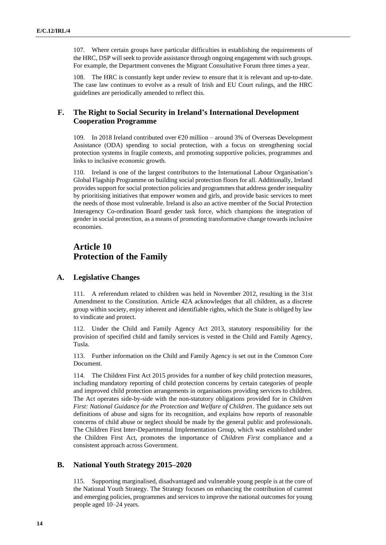107. Where certain groups have particular difficulties in establishing the requirements of the HRC, DSP will seek to provide assistance through ongoing engagement with such groups. For example, the Department convenes the Migrant Consultative Forum three times a year.

108. The HRC is constantly kept under review to ensure that it is relevant and up-to-date. The case law continues to evolve as a result of Irish and EU Court rulings, and the HRC guidelines are periodically amended to reflect this.

## **F. The Right to Social Security in Ireland's International Development Cooperation Programme**

109. In 2018 Ireland contributed over €20 million – around 3% of Overseas Development Assistance (ODA) spending to social protection, with a focus on strengthening social protection systems in fragile contexts, and promoting supportive policies, programmes and links to inclusive economic growth.

110. Ireland is one of the largest contributors to the International Labour Organisation's Global Flagship Programme on building social protection floors for all. Additionally, Ireland provides support for social protection policies and programmes that address gender inequality by prioritising initiatives that empower women and girls, and provide basic services to meet the needs of those most vulnerable. Ireland is also an active member of the Social Protection Interagency Co-ordination Board gender task force, which champions the integration of gender in social protection, as a means of promoting transformative change towards inclusive economies.

## **Article 10 Protection of the Family**

#### **A. Legislative Changes**

111. A referendum related to children was held in November 2012, resulting in the 31st Amendment to the Constitution. Article 42A acknowledges that all children, as a discrete group within society, enjoy inherent and identifiable rights, which the State is obliged by law to vindicate and protect.

112. Under the Child and Family Agency Act 2013, statutory responsibility for the provision of specified child and family services is vested in the Child and Family Agency, Tusla.

113. Further information on the Child and Family Agency is set out in the Common Core Document.

114. The Children First Act 2015 provides for a number of key child protection measures, including mandatory reporting of child protection concerns by certain categories of people and improved child protection arrangements in organisations providing services to children. The Act operates side-by-side with the non-statutory obligations provided for in *Children First: National Guidance for the Protection and Welfare of Children*. The guidance sets out definitions of abuse and signs for its recognition, and explains how reports of reasonable concerns of child abuse or neglect should be made by the general public and professionals. The Children First Inter-Departmental Implementation Group, which was established under the Children First Act, promotes the importance of *Children First* compliance and a consistent approach across Government.

## **B. National Youth Strategy 2015–2020**

115. Supporting marginalised, disadvantaged and vulnerable young people is at the core of the National Youth Strategy. The Strategy focuses on enhancing the contribution of current and emerging policies, programmes and services to improve the national outcomes for young people aged 10–24 years.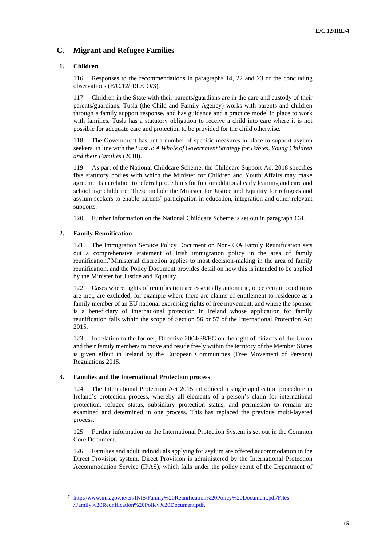## **C. Migrant and Refugee Families**

## **1. Children**

116. Responses to the recommendations in paragraphs 14, 22 and 23 of the concluding observations (E/C.12/IRL/CO/3).

117. Children in the State with their parents/guardians are in the care and custody of their parents/guardians. Tusla (the Child and Family Agency) works with parents and children through a family support response, and has guidance and a practice model in place to work with families. Tusla has a statutory obligation to receive a child into care where it is not possible for adequate care and protection to be provided for the child otherwise.

118. The Government has put a number of specific measures in place to support asylum seekers, in line with the *First 5: A Whole of Government Strategy for Babies, Young Children and their Families* (2018).

119. As part of the National Childcare Scheme, the Childcare Support Act 2018 specifies five statutory bodies with which the Minister for Children and Youth Affairs may make agreements in relation to referral procedures for free or additional early learning and care and school age childcare. These include the Minister for Justice and Equality for refugees and asylum seekers to enable parents' participation in education, integration and other relevant supports.

120. Further information on the National Childcare Scheme is set out in paragraph 161.

## **2. Family Reunification**

121. The Immigration Service Policy Document on Non-EEA Family Reunification sets out a comprehensive statement of Irish immigration policy in the area of family reunification.<sup>7</sup> Ministerial discretion applies to most decision-making in the area of family reunification, and the Policy Document provides detail on how this is intended to be applied by the Minister for Justice and Equality.

122. Cases where rights of reunification are essentially automatic, once certain conditions are met, are excluded, for example where there are claims of entitlement to residence as a family member of an EU national exercising rights of free movement, and where the sponsor is a beneficiary of international protection in Ireland whose application for family reunification falls within the scope of Section 56 or 57 of the International Protection Act 2015.

123. In relation to the former, Directive 2004/38/EC on the right of citizens of the Union and their family members to move and reside freely within the territory of the Member States is given effect in Ireland by the European Communities (Free Movement of Persons) Regulations 2015.

#### **3. Families and the International Protection process**

124. The International Protection Act 2015 introduced a single application procedure in Ireland's protection process, whereby all elements of a person's claim for international protection, refugee status, subsidiary protection status, and permission to remain are examined and determined in one process. This has replaced the previous multi-layered process.

125. Further information on the International Protection System is set out in the Common Core Document.

126. Families and adult individuals applying for asylum are offered accommodation in the Direct Provision system. Direct Provision is administered by the International Protection Accommodation Service (IPAS), which falls under the policy remit of the Department of

<sup>7</sup> <http://www.inis.gov.ie/en/INIS/Family%20Reunification%20Policy%20Document.pdf/Files> [/Family%20Reunification%20Policy%20Document.pdf.](http://www.inis.gov.ie/en/INIS/Family%20Reunification%20Policy%20Document.pdf/Files)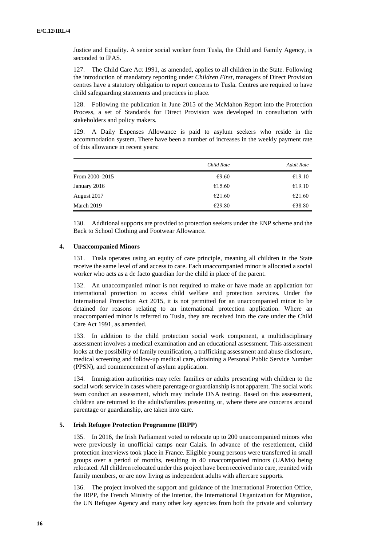Justice and Equality. A senior social worker from Tusla, the Child and Family Agency, is seconded to IPAS.

127. The Child Care Act 1991, as amended, applies to all children in the State. Following the introduction of mandatory reporting under *Children First*, managers of Direct Provision centres have a statutory obligation to report concerns to Tusla. Centres are required to have child safeguarding statements and practices in place.

128. Following the publication in June 2015 of the McMahon Report into the Protection Process, a set of Standards for Direct Provision was developed in consultation with stakeholders and policy makers.

129. A Daily Expenses Allowance is paid to asylum seekers who reside in the accommodation system. There have been a number of increases in the weekly payment rate of this allowance in recent years:

|                | Child Rate | <b>Adult Rate</b> |
|----------------|------------|-------------------|
| From 2000–2015 | €9.60      | €19.10            |
| January 2016   | €15.60     | €19.10            |
| August 2017    | €21.60     | €21.60            |
| March 2019     | €29.80     | €38.80            |

130. Additional supports are provided to protection seekers under the ENP scheme and the Back to School Clothing and Footwear Allowance.

#### **4. Unaccompanied Minors**

131. Tusla operates using an equity of care principle, meaning all children in the State receive the same level of and access to care. Each unaccompanied minor is allocated a social worker who acts as a de facto guardian for the child in place of the parent.

132. An unaccompanied minor is not required to make or have made an application for international protection to access child welfare and protection services. Under the International Protection Act 2015, it is not permitted for an unaccompanied minor to be detained for reasons relating to an international protection application. Where an unaccompanied minor is referred to Tusla, they are received into the care under the Child Care Act 1991, as amended.

133. In addition to the child protection social work component, a multidisciplinary assessment involves a medical examination and an educational assessment. This assessment looks at the possibility of family reunification, a trafficking assessment and abuse disclosure, medical screening and follow-up medical care, obtaining a Personal Public Service Number (PPSN), and commencement of asylum application.

134. Immigration authorities may refer families or adults presenting with children to the social work service in cases where parentage or guardianship is not apparent. The social work team conduct an assessment, which may include DNA testing. Based on this assessment, children are returned to the adults/families presenting or, where there are concerns around parentage or guardianship, are taken into care.

#### **5. Irish Refugee Protection Programme (IRPP)**

135. In 2016, the Irish Parliament voted to relocate up to 200 unaccompanied minors who were previously in unofficial camps near Calais. In advance of the resettlement, child protection interviews took place in France. Eligible young persons were transferred in small groups over a period of months, resulting in 40 unaccompanied minors (UAMs) being relocated. All children relocated under this project have been received into care, reunited with family members, or are now living as independent adults with aftercare supports.

136. The project involved the support and guidance of the International Protection Office, the IRPP, the French Ministry of the Interior, the International Organization for Migration, the UN Refugee Agency and many other key agencies from both the private and voluntary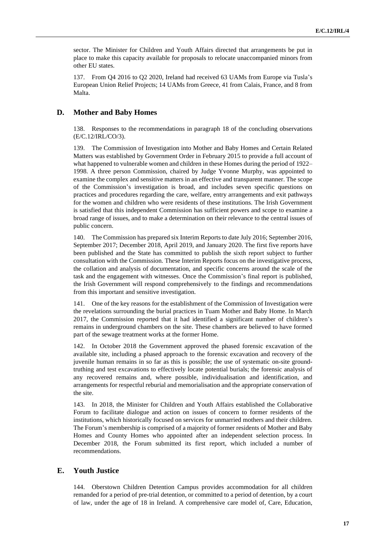sector. The Minister for Children and Youth Affairs directed that arrangements be put in place to make this capacity available for proposals to relocate unaccompanied minors from other EU states.

137. From Q4 2016 to Q2 2020, Ireland had received 63 UAMs from Europe via Tusla's European Union Relief Projects; 14 UAMs from Greece, 41 from Calais, France, and 8 from Malta.

#### **D. Mother and Baby Homes**

138. Responses to the recommendations in paragraph 18 of the concluding observations (E/C.12/IRL/CO/3).

139. The Commission of Investigation into Mother and Baby Homes and Certain Related Matters was established by Government Order in February 2015 to provide a full account of what happened to vulnerable women and children in these Homes during the period of 1922– 1998. A three person Commission, chaired by Judge Yvonne Murphy, was appointed to examine the complex and sensitive matters in an effective and transparent manner. The scope of the Commission's investigation is broad, and includes seven specific questions on practices and procedures regarding the care, welfare, entry arrangements and exit pathways for the women and children who were residents of these institutions. The Irish Government is satisfied that this independent Commission has sufficient powers and scope to examine a broad range of issues, and to make a determination on their relevance to the central issues of public concern.

140. The Commission has prepared six Interim Reports to date July 2016; September 2016, September 2017; December 2018, April 2019, and January 2020. The first five reports have been published and the State has committed to publish the sixth report subject to further consultation with the Commission. These Interim Reports focus on the investigative process, the collation and analysis of documentation, and specific concerns around the scale of the task and the engagement with witnesses. Once the Commission's final report is published, the Irish Government will respond comprehensively to the findings and recommendations from this important and sensitive investigation.

141. One of the key reasons for the establishment of the Commission of Investigation were the revelations surrounding the burial practices in Tuam Mother and Baby Home. In March 2017, the Commission reported that it had identified a significant number of children's remains in underground chambers on the site. These chambers are believed to have formed part of the sewage treatment works at the former Home.

142. In October 2018 the Government approved the phased forensic excavation of the available site, including a phased approach to the forensic excavation and recovery of the juvenile human remains in so far as this is possible; the use of systematic on-site groundtruthing and test excavations to effectively locate potential burials; the forensic analysis of any recovered remains and, where possible, individualisation and identification, and arrangements for respectful reburial and memorialisation and the appropriate conservation of the site.

143. In 2018, the Minister for Children and Youth Affairs established the Collaborative Forum to facilitate dialogue and action on issues of concern to former residents of the institutions, which historically focused on services for unmarried mothers and their children. The Forum's membership is comprised of a majority of former residents of Mother and Baby Homes and County Homes who appointed after an independent selection process. In December 2018, the Forum submitted its first report, which included a number of recommendations.

## **E. Youth Justice**

144. Oberstown Children Detention Campus provides accommodation for all children remanded for a period of pre-trial detention, or committed to a period of detention, by a court of law, under the age of 18 in Ireland. A comprehensive care model of, Care, Education,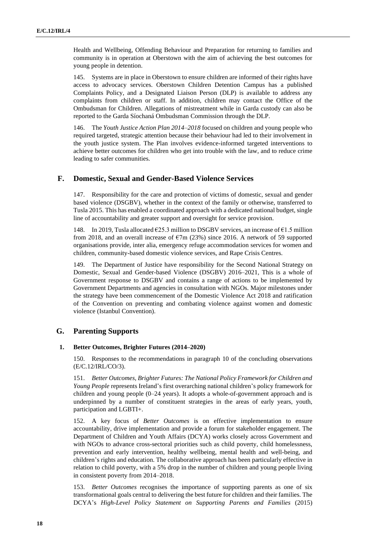Health and Wellbeing, Offending Behaviour and Preparation for returning to families and community is in operation at Oberstown with the aim of achieving the best outcomes for young people in detention.

145. Systems are in place in Oberstown to ensure children are informed of their rights have access to advocacy services. Oberstown Children Detention Campus has a published Complaints Policy, and a Designated Liaison Person (DLP) is available to address any complaints from children or staff. In addition, children may contact the Office of the Ombudsman for Children. Allegations of mistreatment while in Garda custody can also be reported to the Garda Síochaná Ombudsman Commission through the DLP.

146. The *Youth Justice Action Plan 2014–2018* focused on children and young people who required targeted, strategic attention because their behaviour had led to their involvement in the youth justice system. The Plan involves evidence-informed targeted interventions to achieve better outcomes for children who get into trouble with the law, and to reduce crime leading to safer communities.

## **F. Domestic, Sexual and Gender-Based Violence Services**

147. Responsibility for the care and protection of victims of domestic, sexual and gender based violence (DSGBV), whether in the context of the family or otherwise, transferred to Tusla 2015. This has enabled a coordinated approach with a dedicated national budget, single line of accountability and greater support and oversight for service provision.

148. In 2019, Tusla allocated €25.3 million to DSGBV services, an increase of €1.5 million from 2018, and an overall increase of  $\epsilon$ 7m (23%) since 2016. A network of 59 supported organisations provide, inter alia, emergency refuge accommodation services for women and children, community-based domestic violence services, and Rape Crisis Centres.

149. The Department of Justice have responsibility for the Second National Strategy on Domestic, Sexual and Gender-based Violence (DSGBV) 2016–2021, This is a whole of Government response to DSGBV and contains a range of actions to be implemented by Government Departments and agencies in consultation with NGOs. Major milestones under the strategy have been commencement of the Domestic Violence Act 2018 and ratification of the Convention on preventing and combating violence against women and domestic violence (Istanbul Convention).

## **G. Parenting Supports**

#### **1. Better Outcomes, Brighter Futures (2014–2020)**

150. Responses to the recommendations in paragraph 10 of the concluding observations (E/C.12/IRL/CO/3).

151. *Better Outcomes, Brighter Futures: The National Policy Framework for Children and Young People* represents Ireland's first overarching national children's policy framework for children and young people (0–24 years). It adopts a whole-of-government approach and is underpinned by a number of constituent strategies in the areas of early years, youth, participation and LGBTI+.

152. A key focus of *Better Outcomes* is on effective implementation to ensure accountability, drive implementation and provide a forum for stakeholder engagement. The Department of Children and Youth Affairs (DCYA) works closely across Government and with NGOs to advance cross-sectoral priorities such as child poverty, child homelessness, prevention and early intervention, healthy wellbeing, mental health and well-being, and children's rights and education. The collaborative approach has been particularly effective in relation to child poverty, with a 5% drop in the number of children and young people living in consistent poverty from 2014–2018.

153. *Better Outcomes* recognises the importance of supporting parents as one of six transformational goals central to delivering the best future for children and their families. The DCYA's *High-Level Policy Statement on Supporting Parents and Families* (2015)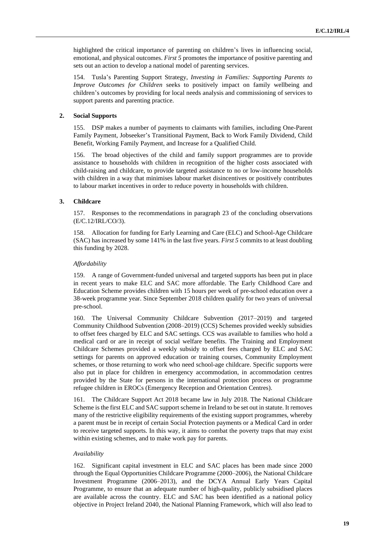highlighted the critical importance of parenting on children's lives in influencing social, emotional, and physical outcomes. *First 5* promotes the importance of positive parenting and sets out an action to develop a national model of parenting services.

154. Tusla's Parenting Support Strategy, *Investing in Families: Supporting Parents to Improve Outcomes for Children* seeks to positively impact on family wellbeing and children's outcomes by providing for local needs analysis and commissioning of services to support parents and parenting practice.

#### **2. Social Supports**

155. DSP makes a number of payments to claimants with families, including One-Parent Family Payment, Jobseeker's Transitional Payment, Back to Work Family Dividend, Child Benefit, Working Family Payment, and Increase for a Qualified Child.

156. The broad objectives of the child and family support programmes are to provide assistance to households with children in recognition of the higher costs associated with child-raising and childcare, to provide targeted assistance to no or low-income households with children in a way that minimises labour market disincentives or positively contributes to labour market incentives in order to reduce poverty in households with children.

#### **3. Childcare**

157. Responses to the recommendations in paragraph 23 of the concluding observations (E/C.12/IRL/CO/3).

158. Allocation for funding for Early Learning and Care (ELC) and School-Age Childcare (SAC) has increased by some 141% in the last five years. *First 5* commits to at least doubling this funding by 2028.

#### *Affordability*

159. A range of Government-funded universal and targeted supports has been put in place in recent years to make ELC and SAC more affordable. The Early Childhood Care and Education Scheme provides children with 15 hours per week of pre-school education over a 38-week programme year. Since September 2018 children qualify for two years of universal pre-school.

160. The Universal Community Childcare Subvention (2017–2019) and targeted Community Childhood Subvention (2008–2019) (CCS) Schemes provided weekly subsidies to offset fees charged by ELC and SAC settings. CCS was available to families who hold a medical card or are in receipt of social welfare benefits. The Training and Employment Childcare Schemes provided a weekly subsidy to offset fees charged by ELC and SAC settings for parents on approved education or training courses, Community Employment schemes, or those returning to work who need school-age childcare. Specific supports were also put in place for children in emergency accommodation, in accommodation centres provided by the State for persons in the international protection process or programme refugee children in EROCs (Emergency Reception and Orientation Centres).

161. The Childcare Support Act 2018 became law in July 2018. The National Childcare Scheme is the first ELC and SAC support scheme in Ireland to be set out in statute. It removes many of the restrictive eligibility requirements of the existing support programmes, whereby a parent must be in receipt of certain Social Protection payments or a Medical Card in order to receive targeted supports. In this way, it aims to combat the poverty traps that may exist within existing schemes, and to make work pay for parents.

#### *Availability*

162. Significant capital investment in ELC and SAC places has been made since 2000 through the Equal Opportunities Childcare Programme (2000–2006), the National Childcare Investment Programme (2006–2013), and the DCYA Annual Early Years Capital Programme, to ensure that an adequate number of high-quality, publicly subsidised places are available across the country. ELC and SAC has been identified as a national policy objective in Project Ireland 2040, the National Planning Framework, which will also lead to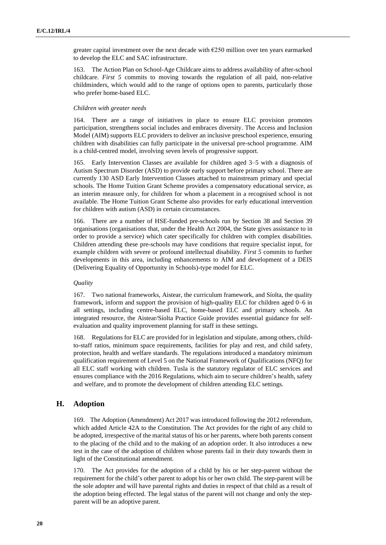greater capital investment over the next decade with €250 million over ten years earmarked to develop the ELC and SAC infrastructure.

163. The Action Plan on School-Age Childcare aims to address availability of after-school childcare. *First 5* commits to moving towards the regulation of all paid, non-relative childminders, which would add to the range of options open to parents, particularly those who prefer home-based ELC.

#### *Children with greater needs*

164. There are a range of initiatives in place to ensure ELC provision promotes participation, strengthens social includes and embraces diversity. The Access and Inclusion Model (AIM) supports ELC providers to deliver an inclusive preschool experience, ensuring children with disabilities can fully participate in the universal pre-school programme. AIM is a child-centred model, involving seven levels of progressive support.

165. Early Intervention Classes are available for children aged 3–5 with a diagnosis of Autism Spectrum Disorder (ASD) to provide early support before primary school. There are currently 130 ASD Early Intervention Classes attached to mainstream primary and special schools. The Home Tuition Grant Scheme provides a compensatory educational service, as an interim measure only, for children for whom a placement in a recognised school is not available. The Home Tuition Grant Scheme also provides for early educational intervention for children with autism (ASD) in certain circumstances.

166. There are a number of HSE-funded pre-schools run by Section 38 and Section 39 organisations (organisations that, under the Health Act 2004, the State gives assistance to in order to provide a service) which cater specifically for children with complex disabilities. Children attending these pre-schools may have conditions that require specialist input, for example children with severe or profound intellectual disability. *First 5* commits to further developments in this area, including enhancements to AIM and development of a DEIS (Delivering Equality of Opportunity in Schools)-type model for ELC.

#### *Quality*

167. Two national frameworks, Aistear, the curriculum framework, and Síolta, the quality framework, inform and support the provision of high-quality ELC for children aged 0–6 in all settings, including centre-based ELC, home-based ELC and primary schools. An integrated resource, the Aistear/Síolta Practice Guide provides essential guidance for selfevaluation and quality improvement planning for staff in these settings.

168. Regulations for ELC are provided for in legislation and stipulate, among others, childto-staff ratios, minimum space requirements, facilities for play and rest, and child safety, protection, health and welfare standards. The regulations introduced a mandatory minimum qualification requirement of Level 5 on the National Framework of Qualifications (NFQ) for all ELC staff working with children. Tusla is the statutory regulator of ELC services and ensures compliance with the 2016 Regulations, which aim to secure children's health, safety and welfare, and to promote the development of children attending ELC settings.

## **H. Adoption**

169. The Adoption (Amendment) Act 2017 was introduced following the 2012 referendum, which added Article 42A to the Constitution. The Act provides for the right of any child to be adopted, irrespective of the marital status of his or her parents, where both parents consent to the placing of the child and to the making of an adoption order. It also introduces a new test in the case of the adoption of children whose parents fail in their duty towards them in light of the Constitutional amendment.

170. The Act provides for the adoption of a child by his or her step-parent without the requirement for the child's other parent to adopt his or her own child. The step-parent will be the sole adopter and will have parental rights and duties in respect of that child as a result of the adoption being effected. The legal status of the parent will not change and only the stepparent will be an adoptive parent.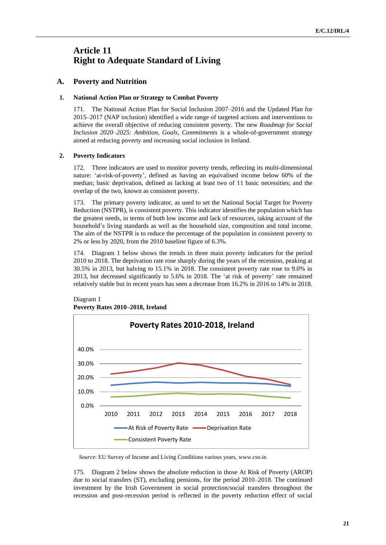## **Article 11 Right to Adequate Standard of Living**

## **A. Poverty and Nutrition**

#### **1. National Action Plan or Strategy to Combat Poverty**

171. The National Action Plan for Social Inclusion 2007–2016 and the Updated Plan for 2015–2017 (NAP inclusion) identified a wide range of targeted actions and interventions to achieve the overall objective of reducing consistent poverty. The new *Roadmap for Social Inclusion 2020–2025: Ambition, Goals, Commitments* is a whole-of-government strategy aimed at reducing poverty and increasing social inclusion in Ireland.

#### **2. Poverty Indicators**

172. Three indicators are used to monitor poverty trends, reflecting its multi-dimensional nature: 'at-risk-of-poverty', defined as having an equivalised income below 60% of the median; basic deprivation, defined as lacking at least two of 11 basic necessities; and the overlap of the two, known as consistent poverty.

173. The primary poverty indicator, as used to set the National Social Target for Poverty Reduction (NSTPR), is consistent poverty. This indicator identifies the population which has the greatest needs, in terms of both low income and lack of resources, taking account of the household's living standards as well as the household size, composition and total income. The aim of the NSTPR is to reduce the percentage of the population in consistent poverty to 2% or less by 2020, from the 2010 baseline figure of 6.3%.

174. Diagram 1 below shows the trends in three main poverty indicators for the period 2010 to 2018. The deprivation rate rose sharply during the years of the recession, peaking at 30.5% in 2013, but halving to 15.1% in 2018. The consistent poverty rate rose to 9.0% in 2013, but decreased significantly to 5.6% in 2018. The 'at risk of poverty' rate remained relatively stable but in recent years has seen a decrease from 16.2% in 2016 to 14% in 2018.



#### Diagram 1 **Poverty Rates 2010–2018, Ireland**

*Source*: EU Survey of Income and Living Conditions various years, www.cso.ie.

175. Diagram 2 below shows the absolute reduction in those At Risk of Poverty (AROP) due to social transfers (ST), excluding pensions, for the period 2010–2018. The continued investment by the Irish Government in social protection/social transfers throughout the recession and post-recession period is reflected in the poverty reduction effect of social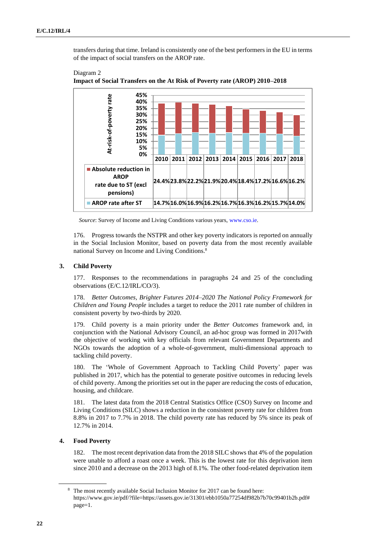transfers during that time. Ireland is consistently one of the best performers in the EU in terms of the impact of social transfers on the AROP rate.



Diagram 2 **Impact of Social Transfers on the At Risk of Poverty rate (AROP) 2010–2018**

*Source*: Survey of Income and Living Conditions various years, [www.cso.ie.](http://www.cso.ie/)

176. Progress towards the NSTPR and other key poverty indicators is reported on annually in the Social Inclusion Monitor, based on poverty data from the most recently available national Survey on Income and Living Conditions.<sup>8</sup>

#### **3. Child Poverty**

177. Responses to the recommendations in paragraphs 24 and 25 of the concluding observations (E/C.12/IRL/CO/3).

178. *Better Outcomes, Brighter Futures 2014–2020 The National Policy Framework for Children and Young People* includes a target to reduce the 2011 rate number of children in consistent poverty by two-thirds by 2020.

179. Child poverty is a main priority under the *Better Outcomes* framework and, in conjunction with the National Advisory Council, an ad-hoc group was formed in 2017with the objective of working with key officials from relevant Government Departments and NGOs towards the adoption of a whole-of-government, multi-dimensional approach to tackling child poverty.

180. The 'Whole of Government Approach to Tackling Child Poverty' paper was published in 2017, which has the potential to generate positive outcomes in reducing levels of child poverty. Among the priorities set out in the paper are reducing the costs of education, housing, and childcare.

181. The latest data from the 2018 Central Statistics Office (CSO) Survey on Income and Living Conditions (SILC) shows a reduction in the consistent poverty rate for children from 8.8% in 2017 to 7.7% in 2018. The child poverty rate has reduced by 5% since its peak of 12.7% in 2014.

#### **4. Food Poverty**

182. The most recent deprivation data from the 2018 SILC shows that 4% of the population were unable to afford a roast once a week. This is the lowest rate for this deprivation item since 2010 and a decrease on the 2013 high of 8.1%. The other food-related deprivation item

<sup>8</sup> The most recently available Social Inclusion Monitor for 2017 can be found here: [https://www.gov.ie/pdf/?file=https://assets.gov.ie/31301/ebb1050a77254df982b7b70c99401b2b.pdf#](https://www.gov.ie/pdf/?file=https://assets.gov.ie/31301/ebb1050a77254df982b7b70c99401b2b.pdf#page=1) [page=1.](https://www.gov.ie/pdf/?file=https://assets.gov.ie/31301/ebb1050a77254df982b7b70c99401b2b.pdf#page=1)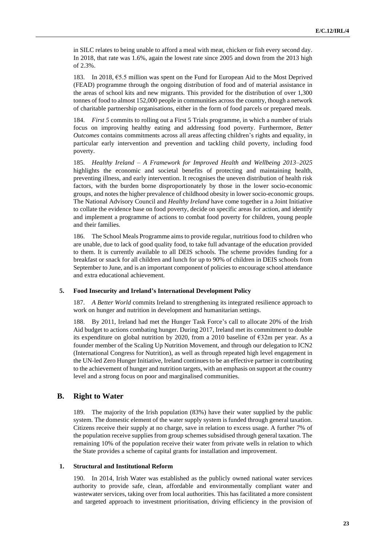in SILC relates to being unable to afford a meal with meat, chicken or fish every second day. In 2018, that rate was 1.6%, again the lowest rate since 2005 and down from the 2013 high of 2.3%.

183. In 2018, €5.5 million was spent on the Fund for European Aid to the Most Deprived (FEAD) programme through the ongoing distribution of food and of material assistance in the areas of school kits and new migrants. This provided for the distribution of over 1,300 tonnes of food to almost 152,000 people in communities across the country, though a network of charitable partnership organisations, either in the form of food parcels or prepared meals.

184. *First 5* commits to rolling out a First 5 Trials programme, in which a number of trials focus on improving healthy eating and addressing food poverty. Furthermore, *Better Outcomes* contains commitments across all areas affecting children's rights and equality, in particular early intervention and prevention and tackling child poverty, including food poverty.

185. *Healthy Ireland – A Framework for Improved Health and Wellbeing 2013–2025* highlights the economic and societal benefits of protecting and maintaining health, preventing illness, and early intervention. It recognises the uneven distribution of health risk factors, with the burden borne disproportionately by those in the lower socio-economic groups, and notes the higher prevalence of childhood obesity in lower socio-economic groups. The National Advisory Council and *Healthy Ireland* have come together in a Joint Initiative to collate the evidence base on food poverty, decide on specific areas for action, and identify and implement a programme of actions to combat food poverty for children, young people and their families.

186. The School Meals Programme aimsto provide regular, nutritious food to children who are unable, due to lack of good quality food, to take full advantage of the education provided to them. It is currently available to all DEIS schools. The scheme provides funding for a breakfast or snack for all children and lunch for up to 90% of children in DEIS schools from September to June, and is an important component of policies to encourage school attendance and extra educational achievement.

#### **5. Food Insecurity and Ireland's International Development Policy**

187. *A Better World* commits Ireland to strengthening its integrated resilience approach to work on hunger and nutrition in development and humanitarian settings.

188. By 2011, Ireland had met the Hunger Task Force's call to allocate 20% of the Irish Aid budget to actions combating hunger. During 2017, Ireland met its commitment to double its expenditure on global nutrition by 2020, from a 2010 baseline of  $\epsilon$ 32m per year. As a founder member of the Scaling Up Nutrition Movement, and through our delegation to ICN2 (International Congress for Nutrition), as well as through repeated high level engagement in the UN-led Zero Hunger Initiative, Ireland continues to be an effective partner in contributing to the achievement of hunger and nutrition targets, with an emphasis on support at the country level and a strong focus on poor and marginalised communities.

## **B. Right to Water**

189. The majority of the Irish population (83%) have their water supplied by the public system. The domestic element of the water supply system is funded through general taxation. Citizens receive their supply at no charge, save in relation to excess usage. A further 7% of the population receive supplies from group schemes subsidised through general taxation. The remaining 10% of the population receive their water from private wells in relation to which the State provides a scheme of capital grants for installation and improvement.

#### **1. Structural and Institutional Reform**

190. In 2014, Irish Water was established as the publicly owned national water services authority to provide safe, clean, affordable and environmentally compliant water and wastewater services, taking over from local authorities. This has facilitated a more consistent and targeted approach to investment prioritisation, driving efficiency in the provision of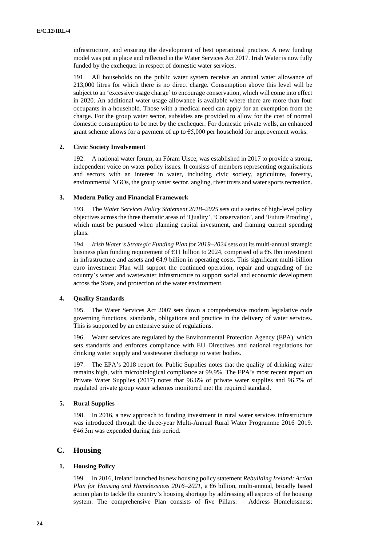infrastructure, and ensuring the development of best operational practice. A new funding model was put in place and reflected in the Water Services Act 2017. Irish Water is now fully funded by the exchequer in respect of domestic water services.

191. All households on the public water system receive an annual water allowance of 213,000 litres for which there is no direct charge. Consumption above this level will be subject to an 'excessive usage charge' to encourage conservation, which will come into effect in 2020. An additional water usage allowance is available where there are more than four occupants in a household. Those with a medical need can apply for an exemption from the charge. For the group water sector, subsidies are provided to allow for the cost of normal domestic consumption to be met by the exchequer. For domestic private wells, an enhanced grant scheme allows for a payment of up to  $65,000$  per household for improvement works.

#### **2. Civic Society Involvement**

192. A national water forum, an Fóram Uisce, was established in 2017 to provide a strong, independent voice on water policy issues. It consists of members representing organisations and sectors with an interest in water, including civic society, agriculture, forestry, environmental NGOs, the group water sector, angling, river trusts and water sports recreation.

#### **3. Modern Policy and Financial Framework**

193. The *Water Services Policy Statement 2018–2025* sets out a series of high-level policy objectives across the three thematic areas of 'Quality', 'Conservation', and 'Future Proofing', which must be pursued when planning capital investment, and framing current spending plans.

194. *Irish Water's Strategic Funding Plan for 2019–2024* sets out its multi-annual strategic business plan funding requirement of  $E11$  billion to 2024, comprised of a  $E6.1$ bn investment in infrastructure and assets and  $64.9$  billion in operating costs. This significant multi-billion euro investment Plan will support the continued operation, repair and upgrading of the country's water and wastewater infrastructure to support social and economic development across the State, and protection of the water environment.

#### **4. Quality Standards**

195. The Water Services Act 2007 sets down a comprehensive modern legislative code governing functions, standards, obligations and practice in the delivery of water services. This is supported by an extensive suite of regulations.

196. Water services are regulated by the Environmental Protection Agency (EPA), which sets standards and enforces compliance with EU Directives and national regulations for drinking water supply and wastewater discharge to water bodies.

197. The EPA's 2018 report for Public Supplies notes that the quality of drinking water remains high, with microbiological compliance at 99.9%. The EPA's most recent report on Private Water Supplies (2017) notes that 96.6% of private water supplies and 96.7% of regulated private group water schemes monitored met the required standard.

#### **5. Rural Supplies**

198. In 2016, a new approach to funding investment in rural water services infrastructure was introduced through the three-year Multi-Annual Rural Water Programme 2016–2019.  $€46.3m$  was expended during this period.

## **C. Housing**

#### **1. Housing Policy**

199. In 2016, Ireland launched its new housing policy statement *Rebuilding Ireland: Action Plan for Housing and Homelessness 2016–2021*, a €6 billion, multi-annual, broadly based action plan to tackle the country's housing shortage by addressing all aspects of the housing system. The comprehensive Plan consists of five Pillars: – Address Homelessness;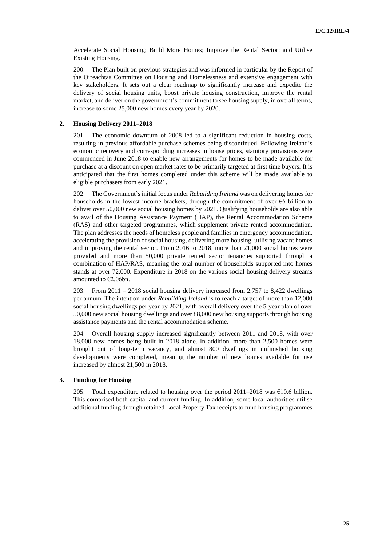Accelerate Social Housing; Build More Homes; Improve the Rental Sector; and Utilise Existing Housing.

200. The Plan built on previous strategies and was informed in particular by the Report of the Oireachtas Committee on Housing and Homelessness and extensive engagement with key stakeholders. It sets out a clear roadmap to significantly increase and expedite the delivery of social housing units, boost private housing construction, improve the rental market, and deliver on the government's commitment to see housing supply, in overall terms, increase to some 25,000 new homes every year by 2020.

#### **2. Housing Delivery 2011–2018**

201. The economic downturn of 2008 led to a significant reduction in housing costs, resulting in previous affordable purchase schemes being discontinued. Following Ireland's economic recovery and corresponding increases in house prices, statutory provisions were commenced in June 2018 to enable new arrangements for homes to be made available for purchase at a discount on open market rates to be primarily targeted at first time buyers. It is anticipated that the first homes completed under this scheme will be made available to eligible purchasers from early 2021.

202. The Government's initial focus under *Rebuilding Ireland* was on delivering homes for households in the lowest income brackets, through the commitment of over €6 billion to deliver over 50,000 new social housing homes by 2021. Qualifying households are also able to avail of the Housing Assistance Payment (HAP), the Rental Accommodation Scheme (RAS) and other targeted programmes, which supplement private rented accommodation. The plan addresses the needs of homeless people and families in emergency accommodation, accelerating the provision of social housing, delivering more housing, utilising vacant homes and improving the rental sector. From 2016 to 2018, more than 21,000 social homes were provided and more than 50,000 private rented sector tenancies supported through a combination of HAP/RAS, meaning the total number of households supported into homes stands at over 72,000. Expenditure in 2018 on the various social housing delivery streams amounted to  $€2.06$ bn.

203. From 2011 – 2018 social housing delivery increased from 2,757 to 8,422 dwellings per annum. The intention under *Rebuilding Ireland* is to reach a target of more than 12,000 social housing dwellings per year by 2021, with overall delivery over the 5-year plan of over 50,000 new social housing dwellings and over 88,000 new housing supports through housing assistance payments and the rental accommodation scheme.

204. Overall housing supply increased significantly between 2011 and 2018, with over 18,000 new homes being built in 2018 alone. In addition, more than 2,500 homes were brought out of long-term vacancy, and almost 800 dwellings in unfinished housing developments were completed, meaning the number of new homes available for use increased by almost 21,500 in 2018.

#### **3. Funding for Housing**

205. Total expenditure related to housing over the period 2011–2018 was  $\epsilon$ 10.6 billion. This comprised both capital and current funding. In addition, some local authorities utilise additional funding through retained Local Property Tax receipts to fund housing programmes.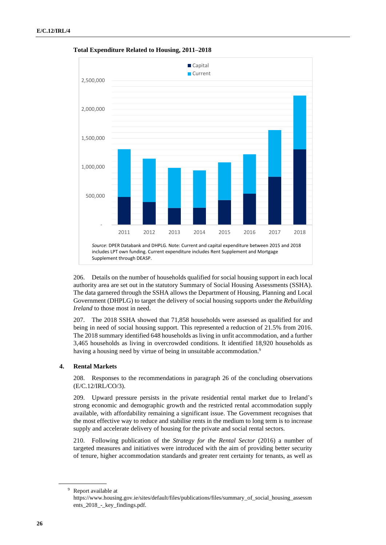

**Total Expenditure Related to Housing, 2011–2018**

206. Details on the number of households qualified for social housing support in each local authority area are set out in the statutory Summary of Social Housing Assessments (SSHA). The data garnered through the SSHA allows the Department of Housing, Planning and Local Government (DHPLG) to target the delivery of social housing supports under the *Rebuilding Ireland* to those most in need.

207. The 2018 SSHA showed that 71,858 households were assessed as qualified for and being in need of social housing support. This represented a reduction of 21.5% from 2016. The 2018 summary identified 648 households as living in unfit accommodation, and a further 3,465 households as living in overcrowded conditions. It identified 18,920 households as having a housing need by virtue of being in unsuitable accommodation.<sup>9</sup>

#### **4. Rental Markets**

208. Responses to the recommendations in paragraph 26 of the concluding observations (E/C.12/IRL/CO/3).

209. Upward pressure persists in the private residential rental market due to Ireland's strong economic and demographic growth and the restricted rental accommodation supply available, with affordability remaining a significant issue. The Government recognises that the most effective way to reduce and stabilise rents in the medium to long term is to increase supply and accelerate delivery of housing for the private and social rental sectors.

210. Following publication of the *Strategy for the Rental Sector* (2016) a number of targeted measures and initiatives were introduced with the aim of providing better security of tenure, higher accommodation standards and greater rent certainty for tenants, as well as

<sup>9</sup> Report available at

https://www.housing.gov.ie/sites/default/files/publications/files/summary\_of\_social\_housing\_assessm ents\_2018\_-\_key\_findings.pdf.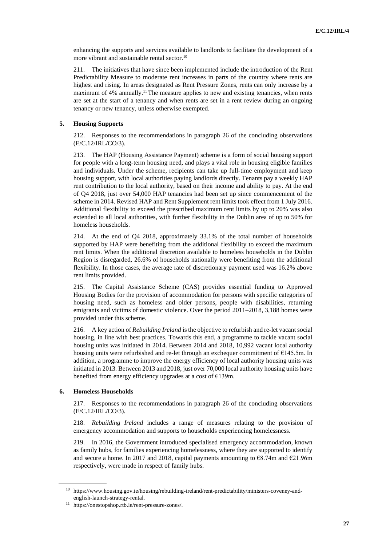enhancing the supports and services available to landlords to facilitate the development of a more vibrant and sustainable rental sector.<sup>10</sup>

211. The initiatives that have since been implemented include the introduction of the Rent Predictability Measure to moderate rent increases in parts of the country where rents are highest and rising. In areas designated as Rent Pressure Zones, rents can only increase by a maximum of 4% annually.<sup>11</sup> The measure applies to new and existing tenancies, when rents are set at the start of a tenancy and when rents are set in a rent review during an ongoing tenancy or new tenancy, unless otherwise exempted.

### **5. Housing Supports**

212. Responses to the recommendations in paragraph 26 of the concluding observations (E/C.12/IRL/CO/3).

213. The HAP (Housing Assistance Payment) scheme is a form of social housing support for people with a long-term housing need, and plays a vital role in housing eligible families and individuals. Under the scheme, recipients can take up full-time employment and keep housing support, with local authorities paying landlords directly. Tenants pay a weekly HAP rent contribution to the local authority, based on their income and ability to pay. At the end of Q4 2018, just over 54,000 HAP tenancies had been set up since commencement of the scheme in 2014. Revised HAP and Rent Supplement rent limits took effect from 1 July 2016. Additional flexibility to exceed the prescribed maximum rent limits by up to 20% was also extended to all local authorities, with further flexibility in the Dublin area of up to 50% for homeless households.

214. At the end of Q4 2018, approximately 33.1% of the total number of households supported by HAP were benefiting from the additional flexibility to exceed the maximum rent limits. When the additional discretion available to homeless households in the Dublin Region is disregarded, 26.6% of households nationally were benefiting from the additional flexibility. In those cases, the average rate of discretionary payment used was 16.2% above rent limits provided.

215. The Capital Assistance Scheme (CAS) provides essential funding to Approved Housing Bodies for the provision of accommodation for persons with specific categories of housing need, such as homeless and older persons, people with disabilities, returning emigrants and victims of domestic violence. Over the period 2011–2018, 3,188 homes were provided under this scheme.

216. A key action of *Rebuilding Ireland* is the objective to refurbish and re-let vacant social housing, in line with best practices. Towards this end, a programme to tackle vacant social housing units was initiated in 2014. Between 2014 and 2018, 10,992 vacant local authority housing units were refurbished and re-let through an exchequer commitment of  $E$ 145.5m. In addition, a programme to improve the energy efficiency of local authority housing units was initiated in 2013. Between 2013 and 2018, just over 70,000 local authority housing units have benefited from energy efficiency upgrades at a cost of €139m.

#### **6. Homeless Households**

217. Responses to the recommendations in paragraph 26 of the concluding observations (E/C.12/IRL/CO/3).

218. *Rebuilding Ireland* includes a range of measures relating to the provision of emergency accommodation and supports to households experiencing homelessness.

219. In 2016, the Government introduced specialised emergency accommodation, known as family hubs, for families experiencing homelessness, where they are supported to identify and secure a home. In 2017 and 2018, capital payments amounting to  $68.74$ m and  $621.96$ m respectively, were made in respect of family hubs.

<sup>10</sup> https://www.housing.gov.ie/housing/rebuilding-ireland/rent-predictability/ministers-coveney-andenglish-launch-strategy-rental.

<sup>11</sup> https://onestopshop.rtb.ie/rent-pressure-zones/.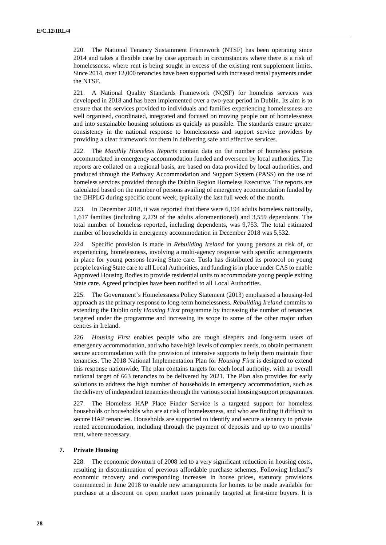220. The National Tenancy Sustainment Framework (NTSF) has been operating since 2014 and takes a flexible case by case approach in circumstances where there is a risk of homelessness, where rent is being sought in excess of the existing rent supplement limits. Since 2014, over 12,000 tenancies have been supported with increased rental payments under the NTSF.

221. A National Quality Standards Framework (NQSF) for homeless services was developed in 2018 and has been implemented over a two-year period in Dublin. Its aim is to ensure that the services provided to individuals and families experiencing homelessness are well organised, coordinated, integrated and focused on moving people out of homelessness and into sustainable housing solutions as quickly as possible. The standards ensure greater consistency in the national response to homelessness and support service providers by providing a clear framework for them in delivering safe and effective services.

222. The *Monthly Homeless Reports* contain data on the number of homeless persons accommodated in emergency accommodation funded and overseen by local authorities. The reports are collated on a regional basis, are based on data provided by local authorities, and produced through the Pathway Accommodation and Support System (PASS) on the use of homeless services provided through the Dublin Region Homeless Executive. The reports are calculated based on the number of persons availing of emergency accommodation funded by the DHPLG during specific count week, typically the last full week of the month.

223. In December 2018, it was reported that there were 6,194 adults homeless nationally, 1,617 families (including 2,279 of the adults aforementioned) and 3,559 dependants. The total number of homeless reported, including dependents, was 9,753. The total estimated number of households in emergency accommodation in December 2018 was 5,532.

224. Specific provision is made in *Rebuilding Ireland* for young persons at risk of, or experiencing, homelessness, involving a multi-agency response with specific arrangements in place for young persons leaving State care. Tusla has distributed its protocol on young people leaving State care to all Local Authorities, and funding isin place under CAS to enable Approved Housing Bodies to provide residential units to accommodate young people exiting State care. Agreed principles have been notified to all Local Authorities.

225. The Government's Homelessness Policy Statement (2013) emphasised a housing-led approach as the primary response to long-term homelessness. *Rebuilding Ireland* commits to extending the Dublin only *Housing First* programme by increasing the number of tenancies targeted under the programme and increasing its scope to some of the other major urban centres in Ireland.

226. *Housing First* enables people who are rough sleepers and long-term users of emergency accommodation, and who have high levels of complex needs, to obtain permanent secure accommodation with the provision of intensive supports to help them maintain their tenancies. The 2018 National Implementation Plan for *Housing First* is designed to extend this response nationwide. The plan contains targets for each local authority, with an overall national target of 663 tenancies to be delivered by 2021. The Plan also provides for early solutions to address the high number of households in emergency accommodation, such as the delivery of independent tenancies through the various social housing support programmes.

227. The Homeless HAP Place Finder Service is a targeted support for homeless households or households who are at risk of homelessness, and who are finding it difficult to secure HAP tenancies. Households are supported to identify and secure a tenancy in private rented accommodation, including through the payment of deposits and up to two months' rent, where necessary.

#### **7. Private Housing**

228. The economic downturn of 2008 led to a very significant reduction in housing costs, resulting in discontinuation of previous affordable purchase schemes. Following Ireland's economic recovery and corresponding increases in house prices, statutory provisions commenced in June 2018 to enable new arrangements for homes to be made available for purchase at a discount on open market rates primarily targeted at first-time buyers. It is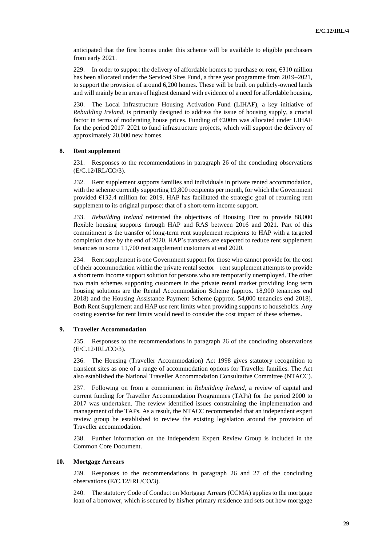anticipated that the first homes under this scheme will be available to eligible purchasers from early 2021.

229. In order to support the delivery of affordable homes to purchase or rent, €310 million has been allocated under the Serviced Sites Fund, a three year programme from 2019–2021, to support the provision of around 6,200 homes. These will be built on publicly-owned lands and will mainly be in areas of highest demand with evidence of a need for affordable housing.

230. The Local Infrastructure Housing Activation Fund (LIHAF), a key initiative of *Rebuilding Ireland*, is primarily designed to address the issue of housing supply, a crucial factor in terms of moderating house prices. Funding of  $\epsilon$ 200m was allocated under LIHAF for the period 2017–2021 to fund infrastructure projects, which will support the delivery of approximately 20,000 new homes.

#### **8. Rent supplement**

231. Responses to the recommendations in paragraph 26 of the concluding observations (E/C.12/IRL/CO/3).

232. Rent supplement supports families and individuals in private rented accommodation, with the scheme currently supporting 19,800 recipients per month, for which the Government provided  $E132.4$  million for 2019. HAP has facilitated the strategic goal of returning rent supplement to its original purpose: that of a short-term income support.

233. *Rebuilding Ireland* reiterated the objectives of Housing First to provide 88,000 flexible housing supports through HAP and RAS between 2016 and 2021. Part of this commitment is the transfer of long-term rent supplement recipients to HAP with a targeted completion date by the end of 2020. HAP's transfers are expected to reduce rent supplement tenancies to some 11,700 rent supplement customers at end 2020.

234. Rent supplement is one Government support for those who cannot provide for the cost of their accommodation within the private rental sector – rent supplement attempts to provide a short term income support solution for persons who are temporarily unemployed. The other two main schemes supporting customers in the private rental market providing long term housing solutions are the Rental Accommodation Scheme (approx. 18,900 tenancies end 2018) and the Housing Assistance Payment Scheme (approx. 54,000 tenancies end 2018). Both Rent Supplement and HAP use rent limits when providing supports to households. Any costing exercise for rent limits would need to consider the cost impact of these schemes.

#### **9. Traveller Accommodation**

235. Responses to the recommendations in paragraph 26 of the concluding observations (E/C.12/IRL/CO/3).

236. The Housing (Traveller Accommodation) Act 1998 gives statutory recognition to transient sites as one of a range of accommodation options for Traveller families. The Act also established the National Traveller Accommodation Consultative Committee (NTACC).

237. Following on from a commitment in *Rebuilding Ireland*, a review of capital and current funding for Traveller Accommodation Programmes (TAPs) for the period 2000 to 2017 was undertaken. The review identified issues constraining the implementation and management of the TAPs. As a result, the NTACC recommended that an independent expert review group be established to review the existing legislation around the provision of Traveller accommodation.

238. Further information on the Independent Expert Review Group is included in the Common Core Document.

#### **10. Mortgage Arrears**

239. Responses to the recommendations in paragraph 26 and 27 of the concluding observations (E/C.12/IRL/CO/3).

240. The statutory Code of Conduct on Mortgage Arrears (CCMA) applies to the mortgage loan of a borrower, which is secured by his/her primary residence and sets out how mortgage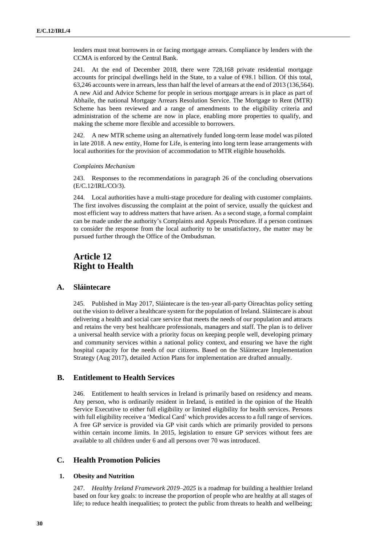lenders must treat borrowers in or facing mortgage arrears. Compliance by lenders with the CCMA is enforced by the Central Bank.

241. At the end of December 2018, there were 728,168 private residential mortgage accounts for principal dwellings held in the State, to a value of  $\epsilon$ 98.1 billion. Of this total, 63,246 accounts were in arrears, less than half the level of arrears at the end of 2013 (136,564). A new Aid and Advice Scheme for people in serious mortgage arrears is in place as part of Abhaile, the national Mortgage Arrears Resolution Service. The Mortgage to Rent (MTR) Scheme has been reviewed and a range of amendments to the eligibility criteria and administration of the scheme are now in place, enabling more properties to qualify, and making the scheme more flexible and accessible to borrowers.

242. A new MTR scheme using an alternatively funded long-term lease model was piloted in late 2018. A new entity, Home for Life, is entering into long term lease arrangements with local authorities for the provision of accommodation to MTR eligible households.

#### *Complaints Mechanism*

243. Responses to the recommendations in paragraph 26 of the concluding observations (E/C.12/IRL/CO/3).

244. Local authorities have a multi-stage procedure for dealing with customer complaints. The first involves discussing the complaint at the point of service, usually the quickest and most efficient way to address matters that have arisen. As a second stage, a formal complaint can be made under the authority's Complaints and Appeals Procedure. If a person continues to consider the response from the local authority to be unsatisfactory, the matter may be pursued further through the Office of the Ombudsman.

## **Article 12 Right to Health**

### **A. Sláintecare**

245. Published in May 2017, Sláintecare is the ten-year all-party Oireachtas policy setting out the vision to deliver a healthcare system for the population of Ireland. Sláintecare is about delivering a health and social care service that meets the needs of our population and attracts and retains the very best healthcare professionals, managers and staff. The plan is to deliver a universal health service with a priority focus on keeping people well, developing primary and community services within a national policy context, and ensuring we have the right hospital capacity for the needs of our citizens. Based on the Sláintecare Implementation Strategy (Aug 2017), detailed Action Plans for implementation are drafted annually.

#### **B. Entitlement to Health Services**

246. Entitlement to health services in Ireland is primarily based on residency and means. Any person, who is ordinarily resident in Ireland, is entitled in the opinion of the Health Service Executive to either full eligibility or limited eligibility for health services. Persons with full eligibility receive a 'Medical Card' which provides access to a full range of services. A free GP service is provided via GP visit cards which are primarily provided to persons within certain income limits. In 2015, legislation to ensure GP services without fees are available to all children under 6 and all persons over 70 was introduced.

### **C. Health Promotion Policies**

#### **1. Obesity and Nutrition**

247. *Healthy Ireland Framework 2019–2025* is a roadmap for building a healthier Ireland based on four key goals: to increase the proportion of people who are healthy at all stages of life; to reduce health inequalities; to protect the public from threats to health and wellbeing;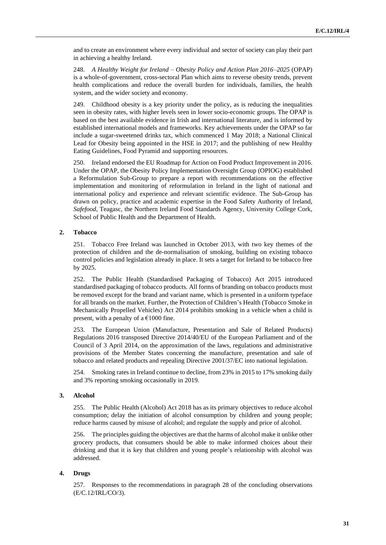and to create an environment where every individual and sector of society can play their part in achieving a healthy Ireland.

248. *A Healthy Weight for Ireland – Obesity Policy and Action Plan 2016–2025* (OPAP) is a whole-of-government, cross-sectoral Plan which aims to reverse obesity trends, prevent health complications and reduce the overall burden for individuals, families, the health system, and the wider society and economy.

249. Childhood obesity is a key priority under the policy, as is reducing the inequalities seen in obesity rates, with higher levels seen in lower socio-economic groups. The OPAP is based on the best available evidence in Irish and international literature, and is informed by established international models and frameworks. Key achievements under the OPAP so far include a sugar-sweetened drinks tax, which commenced 1 May 2018; a National Clinical Lead for Obesity being appointed in the HSE in 2017; and the publishing of new Healthy Eating Guidelines, Food Pyramid and supporting resources.

250. Ireland endorsed the EU Roadmap for Action on Food Product Improvement in 2016. Under the OPAP, the Obesity Policy Implementation Oversight Group (OPIOG) established a Reformulation Sub-Group to prepare a report with recommendations on the effective implementation and monitoring of reformulation in Ireland in the light of national and international policy and experience and relevant scientific evidence. The Sub-Group has drawn on policy, practice and academic expertise in the Food Safety Authority of Ireland, *Safefood*, Teagasc, the Northern Ireland Food Standards Agency, University College Cork, School of Public Health and the Department of Health.

#### **2. Tobacco**

251. Tobacco Free Ireland was launched in October 2013, with two key themes of the protection of children and the de-normalisation of smoking, building on existing tobacco control policies and legislation already in place. It sets a target for Ireland to be tobacco free by 2025.

252. The Public Health (Standardised Packaging of Tobacco) Act 2015 introduced standardised packaging of tobacco products. All forms of branding on tobacco products must be removed except for the brand and variant name, which is presented in a uniform typeface for all brands on the market. Further, the Protection of Children's Health (Tobacco Smoke in Mechanically Propelled Vehicles) Act 2014 prohibits smoking in a vehicle when a child is present, with a penalty of a  $€1000$  fine.

253. The European Union (Manufacture, Presentation and Sale of Related Products) Regulations 2016 transposed Directive 2014/40/EU of the European Parliament and of the Council of 3 April 2014, on the approximation of the laws, regulations and administrative provisions of the Member States concerning the manufacture, presentation and sale of tobacco and related products and repealing Directive 2001/37/EC into national legislation.

254. Smoking rates in Ireland continue to decline, from 23% in 2015 to 17% smoking daily and 3% reporting smoking occasionally in 2019.

#### **3. Alcohol**

255. The Public Health (Alcohol) Act 2018 has as its primary objectives to reduce alcohol consumption; delay the initiation of alcohol consumption by children and young people; reduce harms caused by misuse of alcohol; and regulate the supply and price of alcohol.

256. The principles guiding the objectives are that the harms of alcohol make it unlike other grocery products, that consumers should be able to make informed choices about their drinking and that it is key that children and young people's relationship with alcohol was addressed.

#### **4. Drugs**

257. Responses to the recommendations in paragraph 28 of the concluding observations (E/C.12/IRL/CO/3).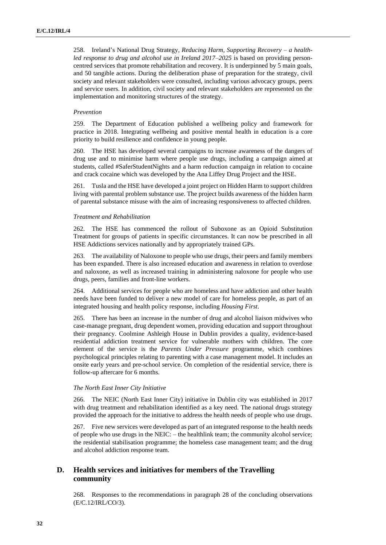258. Ireland's National Drug Strategy, *Reducing Harm, Supporting Recovery – a healthled response to drug and alcohol use in Ireland 2017–2025* is based on providing personcentred services that promote rehabilitation and recovery. It is underpinned by 5 main goals, and 50 tangible actions. During the deliberation phase of preparation for the strategy, civil society and relevant stakeholders were consulted, including various advocacy groups, peers and service users. In addition, civil society and relevant stakeholders are represented on the implementation and monitoring structures of the strategy.

#### *Prevention*

259. The Department of Education published a wellbeing policy and framework for practice in 2018. Integrating wellbeing and positive mental health in education is a core priority to build resilience and confidence in young people.

260. The HSE has developed several campaigns to increase awareness of the dangers of drug use and to minimise harm where people use drugs, including a campaign aimed at students, called #SaferStudentNights and a harm reduction campaign in relation to cocaine and crack cocaine which was developed by the Ana Liffey Drug Project and the HSE.

261. Tusla and the HSE have developed a joint project on Hidden Harm to support children living with parental problem substance use. The project builds awareness of the hidden harm of parental substance misuse with the aim of increasing responsiveness to affected children.

#### *Treatment and Rehabilitation*

262. The HSE has commenced the rollout of Suboxone as an Opioid Substitution Treatment for groups of patients in specific circumstances. It can now be prescribed in all HSE Addictions services nationally and by appropriately trained GPs.

263. The availability of Naloxone to people who use drugs, their peers and family members has been expanded. There is also increased education and awareness in relation to overdose and naloxone, as well as increased training in administering naloxone for people who use drugs, peers, families and front-line workers.

264. Additional services for people who are homeless and have addiction and other health needs have been funded to deliver a new model of care for homeless people, as part of an integrated housing and health policy response, including *Housing First*.

265. There has been an increase in the number of drug and alcohol liaison midwives who case-manage pregnant, drug dependent women, providing education and support throughout their pregnancy. Coolmine Ashleigh House in Dublin provides a quality, evidence-based residential addiction treatment service for vulnerable mothers with children. The core element of the service is the *Parents Under Pressure* programme, which combines psychological principles relating to parenting with a case management model. It includes an onsite early years and pre-school service. On completion of the residential service, there is follow-up aftercare for 6 months.

#### *The North East Inner City Initiative*

266. The NEIC (North East Inner City) initiative in Dublin city was established in 2017 with drug treatment and rehabilitation identified as a key need. The national drugs strategy provided the approach for the initiative to address the health needs of people who use drugs.

267. Five new services were developed as part of an integrated response to the health needs of people who use drugs in the NEIC: – the healthlink team; the community alcohol service; the residential stabilisation programme; the homeless case management team; and the drug and alcohol addiction response team.

## **D. Health services and initiatives for members of the Travelling community**

268. Responses to the recommendations in paragraph 28 of the concluding observations (E/C.12/IRL/CO/3).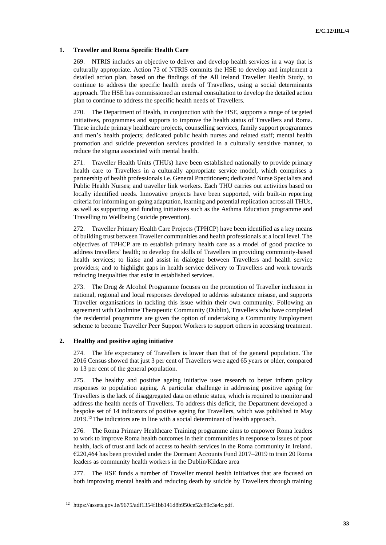### **1. Traveller and Roma Specific Health Care**

269. NTRIS includes an objective to deliver and develop health services in a way that is culturally appropriate. Action 73 of NTRIS commits the HSE to develop and implement a detailed action plan, based on the findings of the All Ireland Traveller Health Study, to continue to address the specific health needs of Travellers, using a social determinants approach. The HSE has commissioned an external consultation to develop the detailed action plan to continue to address the specific health needs of Travellers.

270. The Department of Health, in conjunction with the HSE, supports a range of targeted initiatives, programmes and supports to improve the health status of Travellers and Roma. These include primary healthcare projects, counselling services, family support programmes and men's health projects; dedicated public health nurses and related staff; mental health promotion and suicide prevention services provided in a culturally sensitive manner, to reduce the stigma associated with mental health.

271. Traveller Health Units (THUs) have been established nationally to provide primary health care to Travellers in a culturally appropriate service model, which comprises a partnership of health professionals i.e. General Practitioners; dedicated Nurse Specialists and Public Health Nurses; and traveller link workers. Each THU carries out activities based on locally identified needs. Innovative projects have been supported, with built-in reporting criteria for informing on-going adaptation, learning and potential replication across all THUs, as well as supporting and funding initiatives such as the Asthma Education programme and Travelling to Wellbeing (suicide prevention).

272. Traveller Primary Health Care Projects (TPHCP) have been identified as a key means of building trust between Traveller communities and health professionals at a local level. The objectives of TPHCP are to establish primary health care as a model of good practice to address travellers' health; to develop the skills of Travellers in providing community-based health services; to liaise and assist in dialogue between Travellers and health service providers; and to highlight gaps in health service delivery to Travellers and work towards reducing inequalities that exist in established services.

273. The Drug & Alcohol Programme focuses on the promotion of Traveller inclusion in national, regional and local responses developed to address substance misuse, and supports Traveller organisations in tackling this issue within their own community. Following an agreement with Coolmine Therapeutic Community (Dublin), Travellers who have completed the residential programme are given the option of undertaking a Community Employment scheme to become Traveller Peer Support Workers to support others in accessing treatment.

#### **2. Healthy and positive aging initiative**

274. The life expectancy of Travellers is lower than that of the general population. The 2016 Census showed that just 3 per cent of Travellers were aged 65 years or older, compared to 13 per cent of the general population.

275. The healthy and positive ageing initiative uses research to better inform policy responses to population ageing. A particular challenge in addressing positive ageing for Travellers is the lack of disaggregated data on ethnic status, which is required to monitor and address the health needs of Travellers. To address this deficit, the Department developed a bespoke set of 14 indicators of positive ageing for Travellers, which was published in May 2019.<sup>12</sup> The indicators are in line with a social determinant of health approach.

276. The Roma Primary Healthcare Training programme aims to empower Roma leaders to work to improve Roma health outcomes in their communities in response to issues of poor health, lack of trust and lack of access to health services in the Roma community in Ireland. €220,464 has been provided under the Dormant Accounts Fund 2017–2019 to train 20 Roma leaders as community health workers in the Dublin/Kildare area

277. The HSE funds a number of Traveller mental health initiatives that are focused on both improving mental health and reducing death by suicide by Travellers through training

<sup>12</sup> https://assets.gov.ie/9675/adf1354f1bb141d8b950ce52c89c3a4c.pdf.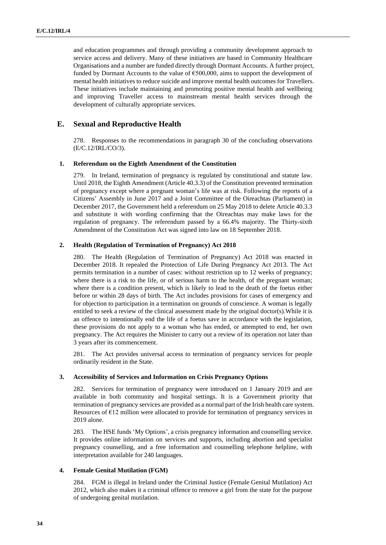and education programmes and through providing a community development approach to service access and delivery. Many of these initiatives are based in Community Healthcare Organisations and a number are funded directly through Dormant Accounts. A further project, funded by Dormant Accounts to the value of €500,000, aims to support the development of mental health initiatives to reduce suicide and improve mental health outcomes for Travellers. These initiatives include maintaining and promoting positive mental health and wellbeing and improving Traveller access to mainstream mental health services through the development of culturally appropriate services.

## **E. Sexual and Reproductive Health**

278. Responses to the recommendations in paragraph 30 of the concluding observations (E/C.12/IRL/CO/3).

#### **1. Referendum on the Eighth Amendment of the Constitution**

279. In Ireland, termination of pregnancy is regulated by constitutional and statute law. Until 2018, the Eighth Amendment (Article 40.3.3) of the Constitution prevented termination of pregnancy except where a pregnant woman's life was at risk. Following the reports of a Citizens' Assembly in June 2017 and a Joint Committee of the Oireachtas (Parliament) in December 2017, the Government held a referendum on 25 May 2018 to delete Article 40.3.3 and substitute it with wording confirming that the Oireachtas may make laws for the regulation of pregnancy. The referendum passed by a 66.4% majority. The Thirty-sixth Amendment of the Constitution Act was signed into law on 18 September 2018.

#### **2. Health (Regulation of Termination of Pregnancy) Act 2018**

280. The Health (Regulation of Termination of Pregnancy) Act 2018 was enacted in December 2018. It repealed the Protection of Life During Pregnancy Act 2013. The Act permits termination in a number of cases: without restriction up to 12 weeks of pregnancy; where there is a risk to the life, or of serious harm to the health, of the pregnant woman; where there is a condition present, which is likely to lead to the death of the foetus either before or within 28 days of birth. The Act includes provisions for cases of emergency and for objection to participation in a termination on grounds of conscience. A woman is legally entitled to seek a review of the clinical assessment made by the original doctor(s).While it is an offence to intentionally end the life of a foetus save in accordance with the legislation, these provisions do not apply to a woman who has ended, or attempted to end, her own pregnancy. The Act requires the Minister to carry out a review of its operation not later than 3 years after its commencement.

281. The Act provides universal access to termination of pregnancy services for people ordinarily resident in the State.

#### **3. Accessibility of Services and Information on Crisis Pregnancy Options**

282. Services for termination of pregnancy were introduced on 1 January 2019 and are available in both community and hospital settings. It is a Government priority that termination of pregnancy services are provided as a normal part of the Irish health care system. Resources of  $E12$  million were allocated to provide for termination of pregnancy services in 2019 alone.

283. The HSE funds 'My Options', a crisis pregnancy information and counselling service. It provides online information on services and supports, including abortion and specialist pregnancy counselling, and a free information and counselling telephone helpline, with interpretation available for 240 languages.

#### **4. Female Genital Mutilation (FGM)**

284. FGM is illegal in Ireland under the Criminal Justice (Female Genital Mutilation) Act 2012, which also makes it a criminal offence to remove a girl from the state for the purpose of undergoing genital mutilation.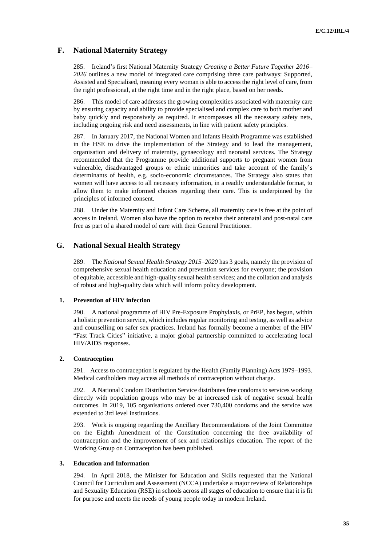## **F. National Maternity Strategy**

285. Ireland's first National Maternity Strategy *Creating a Better Future Together 2016– 2026* outlines a new model of integrated care comprising three care pathways: Supported, Assisted and Specialised, meaning every woman is able to access the right level of care, from the right professional, at the right time and in the right place, based on her needs.

286. This model of care addresses the growing complexities associated with maternity care by ensuring capacity and ability to provide specialised and complex care to both mother and baby quickly and responsively as required. It encompasses all the necessary safety nets, including ongoing risk and need assessments, in line with patient safety principles.

287. In January 2017, the National Women and Infants Health Programme was established in the HSE to drive the implementation of the Strategy and to lead the management, organisation and delivery of maternity, gynaecology and neonatal services. The Strategy recommended that the Programme provide additional supports to pregnant women from vulnerable, disadvantaged groups or ethnic minorities and take account of the family's determinants of health, e.g. socio-economic circumstances. The Strategy also states that women will have access to all necessary information, in a readily understandable format, to allow them to make informed choices regarding their care. This is underpinned by the principles of informed consent.

288. Under the Maternity and Infant Care Scheme, all maternity care is free at the point of access in Ireland. Women also have the option to receive their antenatal and post-natal care free as part of a shared model of care with their General Practitioner.

## **G. National Sexual Health Strategy**

289. The *National Sexual Health Strategy 2015–2020* has 3 goals, namely the provision of comprehensive sexual health education and prevention services for everyone; the provision of equitable, accessible and high-quality sexual health services; and the collation and analysis of robust and high-quality data which will inform policy development.

#### **1. Prevention of HIV infection**

290. A national programme of HIV Pre-Exposure Prophylaxis, or PrEP, has begun, within a holistic prevention service, which includes regular monitoring and testing, as well as advice and counselling on safer sex practices. Ireland has formally become a member of the HIV "Fast Track Cities" initiative, a major global partnership committed to accelerating local HIV/AIDS responses.

## **2. Contraception**

291. Access to contraception is regulated by the Health (Family Planning) Acts 1979–1993. Medical cardholders may access all methods of contraception without charge.

292. A National Condom Distribution Service distributesfree condoms to services working directly with population groups who may be at increased risk of negative sexual health outcomes. In 2019, 105 organisations ordered over 730,400 condoms and the service was extended to 3rd level institutions.

293. Work is ongoing regarding the Ancillary Recommendations of the Joint Committee on the Eighth Amendment of the Constitution concerning the free availability of contraception and the improvement of sex and relationships education. The report of the Working Group on Contraception has been published.

#### **3. Education and Information**

294. In April 2018, the Minister for Education and Skills requested that the National Council for Curriculum and Assessment (NCCA) undertake a major review of Relationships and Sexuality Education (RSE) in schools across all stages of education to ensure that it is fit for purpose and meets the needs of young people today in modern Ireland.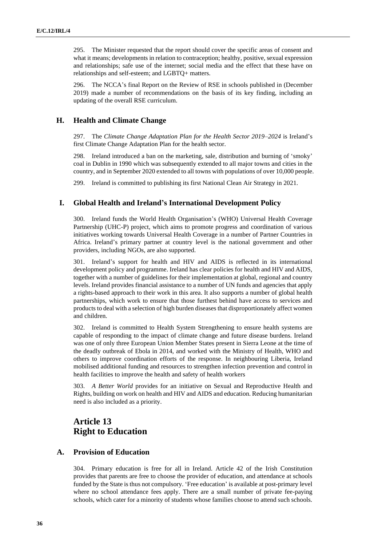295. The Minister requested that the report should cover the specific areas of consent and what it means; developments in relation to contraception; healthy, positive, sexual expression and relationships; safe use of the internet; social media and the effect that these have on relationships and self-esteem; and LGBTQ+ matters.

296. The NCCA's final Report on the Review of RSE in schools published in (December 2019) made a number of recommendations on the basis of its key finding, including an updating of the overall RSE curriculum.

## **H. Health and Climate Change**

297. The *Climate Change Adaptation Plan for the Health Sector 2019–2024* is Ireland's first Climate Change Adaptation Plan for the health sector.

298. Ireland introduced a ban on the marketing, sale, distribution and burning of 'smoky' coal in Dublin in 1990 which was subsequently extended to all major towns and cities in the country, and in September 2020 extended to all towns with populations of over 10,000 people.

299. Ireland is committed to publishing its first National Clean Air Strategy in 2021.

### **I. Global Health and Ireland's International Development Policy**

300. Ireland funds the World Health Organisation's (WHO) Universal Health Coverage Partnership (UHC-P) project, which aims to promote progress and coordination of various initiatives working towards Universal Health Coverage in a number of Partner Countries in Africa. Ireland's primary partner at country level is the national government and other providers, including NGOs, are also supported.

301. Ireland's support for health and HIV and AIDS is reflected in its international development policy and programme. Ireland has clear policies for health and HIV and AIDS, together with a number of guidelines for their implementation at global, regional and country levels. Ireland provides financial assistance to a number of UN funds and agencies that apply a rights-based approach to their work in this area. It also supports a number of global health partnerships, which work to ensure that those furthest behind have access to services and products to deal with a selection of high burden diseasesthat disproportionately affect women and children.

302. Ireland is committed to Health System Strengthening to ensure health systems are capable of responding to the impact of climate change and future disease burdens. Ireland was one of only three European Union Member States present in Sierra Leone at the time of the deadly outbreak of Ebola in 2014, and worked with the Ministry of Health, WHO and others to improve coordination efforts of the response. In neighbouring Liberia, Ireland mobilised additional funding and resources to strengthen infection prevention and control in health facilities to improve the health and safety of health workers

303. *A Better World* provides for an initiative on Sexual and Reproductive Health and Rights, building on work on health and HIV and AIDS and education. Reducing humanitarian need is also included as a priority.

## **Article 13 Right to Education**

## **A. Provision of Education**

304. Primary education is free for all in Ireland. Article 42 of the Irish Constitution provides that parents are free to choose the provider of education, and attendance at schools funded by the State is thus not compulsory. 'Free education' is available at post-primary level where no school attendance fees apply. There are a small number of private fee-paying schools, which cater for a minority of students whose families choose to attend such schools.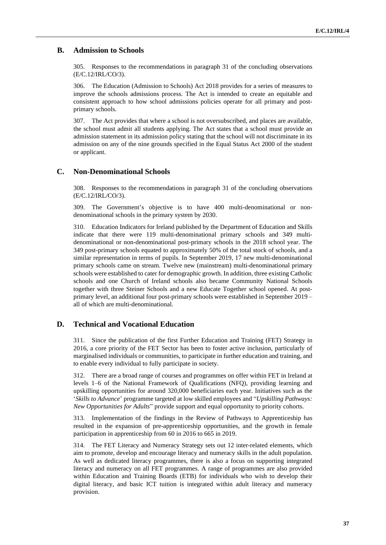## **B. Admission to Schools**

305. Responses to the recommendations in paragraph 31 of the concluding observations (E/C.12/IRL/CO/3).

306. The Education (Admission to Schools) Act 2018 provides for a series of measures to improve the schools admissions process. The Act is intended to create an equitable and consistent approach to how school admissions policies operate for all primary and postprimary schools.

307. The Act provides that where a school is not oversubscribed, and places are available, the school must admit all students applying. The Act states that a school must provide an admission statement in its admission policy stating that the school will not discriminate in its admission on any of the nine grounds specified in the Equal Status Act 2000 of the student or applicant.

## **C. Non-Denominational Schools**

308. Responses to the recommendations in paragraph 31 of the concluding observations (E/C.12/IRL/CO/3).

309. The Government's objective is to have 400 multi-denominational or nondenominational schools in the primary system by 2030.

310. Education Indicators for Ireland published by the Department of Education and Skills indicate that there were 119 multi-denominational primary schools and 349 multidenominational or non-denominational post-primary schools in the 2018 school year. The 349 post-primary schools equated to approximately 50% of the total stock of schools, and a similar representation in terms of pupils. In September 2019, 17 new multi-denominational primary schools came on stream. Twelve new (mainstream) multi-denominational primary schools were established to cater for demographic growth. In addition, three existing Catholic schools and one Church of Ireland schools also became Community National Schools together with three Steiner Schools and a new Educate Together school opened. At postprimary level, an additional four post-primary schools were established in September 2019 – all of which are multi-denominational.

## **D. Technical and Vocational Education**

311. Since the publication of the first Further Education and Training (FET) Strategy in 2016, a core priority of the FET Sector has been to foster active inclusion, particularly of marginalised individuals or communities, to participate in further education and training, and to enable every individual to fully participate in society.

312. There are a broad range of courses and programmes on offer within FET in Ireland at levels 1–6 of the National Framework of Qualifications (NFQ), providing learning and upskilling opportunities for around 320,000 beneficiaries each year. Initiatives such as the '*Skills to Advance*' programme targeted at low skilled employees and "*Upskilling Pathways: New Opportunities for Adults*" provide support and equal opportunity to priority cohorts.

313. Implementation of the findings in the Review of Pathways to Apprenticeship has resulted in the expansion of pre-apprenticeship opportunities, and the growth in female participation in apprenticeship from 60 in 2016 to 665 in 2019.

314. The FET Literacy and Numeracy Strategy sets out 12 inter-related elements, which aim to promote, develop and encourage literacy and numeracy skills in the adult population. As well as dedicated literacy programmes, there is also a focus on supporting integrated literacy and numeracy on all FET programmes. A range of programmes are also provided within Education and Training Boards (ETB) for individuals who wish to develop their digital literacy, and basic ICT tuition is integrated within adult literacy and numeracy provision.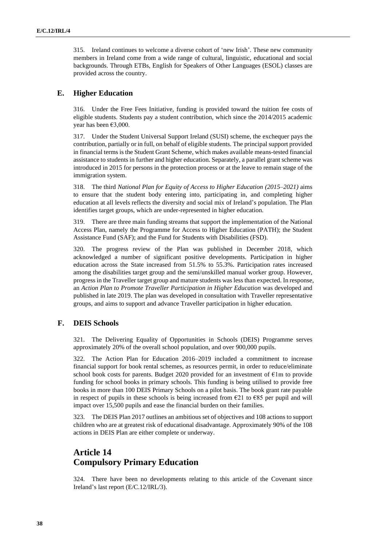315. Ireland continues to welcome a diverse cohort of 'new Irish'. These new community members in Ireland come from a wide range of cultural, linguistic, educational and social backgrounds. Through ETBs, English for Speakers of Other Languages (ESOL) classes are provided across the country.

## **E. Higher Education**

316. Under the Free Fees Initiative, funding is provided toward the tuition fee costs of eligible students. Students pay a student contribution, which since the 2014/2015 academic year has been  $€3,000$ .

317. Under the Student Universal Support Ireland (SUSI) scheme, the exchequer pays the contribution, partially or in full, on behalf of eligible students. The principal support provided in financial terms is the Student Grant Scheme, which makes available means-tested financial assistance to students in further and higher education. Separately, a parallel grant scheme was introduced in 2015 for persons in the protection process or at the leave to remain stage of the immigration system.

318. The third *National Plan for Equity of Access to Higher Education (2015–2021)* aims to ensure that the student body entering into, participating in, and completing higher education at all levels reflects the diversity and social mix of Ireland's population. The Plan identifies target groups, which are under-represented in higher education.

319. There are three main funding streams that support the implementation of the National Access Plan, namely the Programme for Access to Higher Education (PATH); the Student Assistance Fund (SAF); and the Fund for Students with Disabilities (FSD).

320. The progress review of the Plan was published in December 2018, which acknowledged a number of significant positive developments. Participation in higher education across the State increased from 51.5% to 55.3%. Participation rates increased among the disabilities target group and the semi/unskilled manual worker group. However, progress in the Traveller target group and mature students was less than expected. In response, an *Action Plan to Promote Traveller Participation in Higher Education* was developed and published in late 2019. The plan was developed in consultation with Traveller representative groups, and aims to support and advance Traveller participation in higher education.

## **F. DEIS Schools**

321. The Delivering Equality of Opportunities in Schools (DEIS) Programme serves approximately 20% of the overall school population, and over 900,000 pupils.

322. The Action Plan for Education 2016–2019 included a commitment to increase financial support for book rental schemes, as resources permit, in order to reduce/eliminate school book costs for parents. Budget 2020 provided for an investment of  $\epsilon$ 1m to provide funding for school books in primary schools. This funding is being utilised to provide free books in more than 100 DEIS Primary Schools on a pilot basis. The book grant rate payable in respect of pupils in these schools is being increased from  $\epsilon$ 21 to  $\epsilon$ 85 per pupil and will impact over 15,500 pupils and ease the financial burden on their families.

323. The DEIS Plan 2017 outlines an ambitious set of objectives and 108 actions to support children who are at greatest risk of educational disadvantage. Approximately 90% of the 108 actions in DEIS Plan are either complete or underway.

## **Article 14 Compulsory Primary Education**

324. There have been no developments relating to this article of the Covenant since Ireland's last report (E/C.12/IRL/3).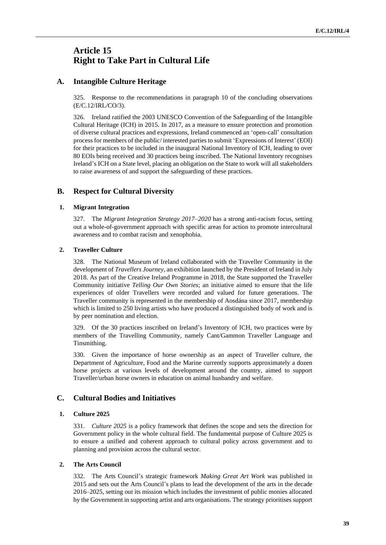## **Article 15 Right to Take Part in Cultural Life**

## **A. Intangible Culture Heritage**

325. Response to the recommendations in paragraph 10 of the concluding observations (E/C.12/IRL/CO/3).

326. Ireland ratified the 2003 UNESCO Convention of the Safeguarding of the Intangible Cultural Heritage (ICH) in 2015. In 2017, as a measure to ensure protection and promotion of diverse cultural practices and expressions, Ireland commenced an 'open-call' consultation processfor members of the public/ interested partiesto submit 'Expressions of Interest' (EOI) for their practices to be included in the inaugural National Inventory of ICH, leading to over 80 EOIs being received and 30 practices being inscribed. The National Inventory recognises Ireland's ICH on a State level, placing an obligation on the State to work will all stakeholders to raise awareness of and support the safeguarding of these practices.

## **B. Respect for Cultural Diversity**

#### **1. Migrant Integration**

327. The *Migrant Integration Strategy 2017–2020* has a strong anti-racism focus, setting out a whole-of-government approach with specific areas for action to promote intercultural awareness and to combat racism and xenophobia.

#### **2. Traveller Culture**

328. The National Museum of Ireland collaborated with the Traveller Community in the development of *Travellers Journey*, an exhibition launched by the President of Ireland in July 2018. As part of the Creative Ireland Programme in 2018, the State supported the Traveller Community initiative *Telling Our Own Stories*; an initiative aimed to ensure that the life experiences of older Travellers were recorded and valued for future generations. The Traveller community is represented in the membership of Aosdána since 2017, membership which is limited to 250 living artists who have produced a distinguished body of work and is by peer nomination and election.

329. Of the 30 practices inscribed on Ireland's Inventory of ICH, two practices were by members of the Travelling Community, namely Cant/Gammon Traveller Language and Tinsmithing.

330. Given the importance of horse ownership as an aspect of Traveller culture, the Department of Agriculture, Food and the Marine currently supports approximately a dozen horse projects at various levels of development around the country, aimed to support Traveller/urban horse owners in education on animal husbandry and welfare.

#### **C. Cultural Bodies and Initiatives**

#### **1. Culture 2025**

331. *Culture 2025* is a policy framework that defines the scope and sets the direction for Government policy in the whole cultural field. The fundamental purpose of Culture 2025 is to ensure a unified and coherent approach to cultural policy across government and to planning and provision across the cultural sector.

#### **2. The Arts Council**

332. The Arts Council's strategic framework *Making Great Art Work* was published in 2015 and sets out the Arts Council's plans to lead the development of the arts in the decade 2016–2025, setting out its mission which includes the investment of public monies allocated by the Government in supporting artist and arts organisations. The strategy prioritises support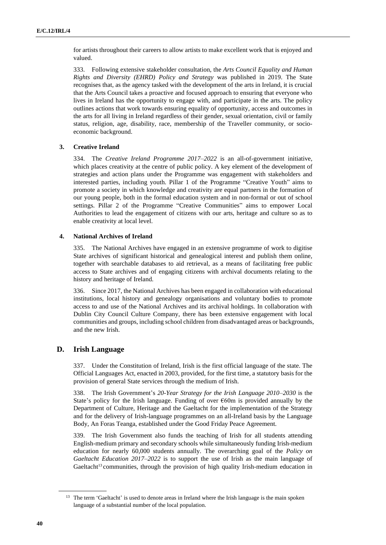for artists throughout their careers to allow artists to make excellent work that is enjoyed and valued.

333. Following extensive stakeholder consultation, the *Arts Council Equality and Human Rights and Diversity (EHRD) Policy and Strategy* was published in 2019. The State recognises that, as the agency tasked with the development of the arts in Ireland, it is crucial that the Arts Council takes a proactive and focused approach to ensuring that everyone who lives in Ireland has the opportunity to engage with, and participate in the arts. The policy outlines actions that work towards ensuring equality of opportunity, access and outcomes in the arts for all living in Ireland regardless of their gender, sexual orientation, civil or family status, religion, age, disability, race, membership of the Traveller community, or socioeconomic background.

#### **3. Creative Ireland**

334. The *Creative Ireland Programme 2017–2022* is an all-of-government initiative, which places creativity at the centre of public policy. A key element of the development of strategies and action plans under the Programme was engagement with stakeholders and interested parties, including youth. Pillar 1 of the Programme "Creative Youth" aims to promote a society in which knowledge and creativity are equal partners in the formation of our young people, both in the formal education system and in non-formal or out of school settings. Pillar 2 of the Programme "Creative Communities" aims to empower Local Authorities to lead the engagement of citizens with our arts, heritage and culture so as to enable creativity at local level.

#### **4. National Archives of Ireland**

335. The National Archives have engaged in an extensive programme of work to digitise State archives of significant historical and genealogical interest and publish them online, together with searchable databases to aid retrieval, as a means of facilitating free public access to State archives and of engaging citizens with archival documents relating to the history and heritage of Ireland.

336. Since 2017, the National Archives has been engaged in collaboration with educational institutions, local history and genealogy organisations and voluntary bodies to promote access to and use of the National Archives and its archival holdings. In collaboration with Dublin City Council Culture Company, there has been extensive engagement with local communities and groups, including school children from disadvantaged areas or backgrounds, and the new Irish.

## **D. Irish Language**

337. Under the Constitution of Ireland, Irish is the first official language of the state. The Official Languages Act, enacted in 2003, provided, for the first time, a statutory basis for the provision of general State services through the medium of Irish.

338. The Irish Government's *20-Year Strategy for the Irish Language 2010–2030* is the State's policy for the Irish language. Funding of over €60m is provided annually by the Department of Culture, Heritage and the Gaeltacht for the implementation of the Strategy and for the delivery of Irish-language programmes on an all-Ireland basis by the Language Body, An Foras Teanga, established under the Good Friday Peace Agreement.

339. The Irish Government also funds the teaching of Irish for all students attending English-medium primary and secondary schools while simultaneously funding Irish-medium education for nearly 60,000 students annually. The overarching goal of the *Policy on Gaeltacht Education 2017–2022* is to support the use of Irish as the main language of Gaeltacht<sup>13</sup> communities, through the provision of high quality Irish-medium education in

<sup>&</sup>lt;sup>13</sup> The term 'Gaeltacht' is used to denote areas in Ireland where the Irish language is the main spoken language of a substantial number of the local population.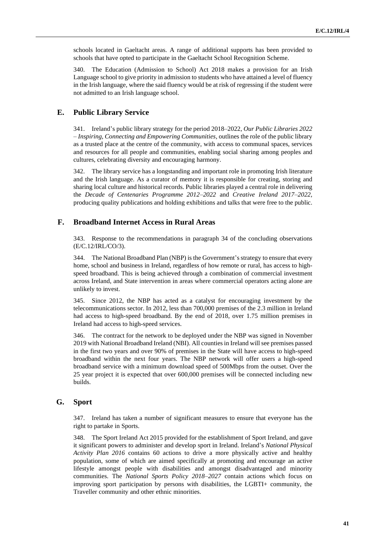schools located in Gaeltacht areas. A range of additional supports has been provided to schools that have opted to participate in the Gaeltacht School Recognition Scheme.

340. The Education (Admission to School) Act 2018 makes a provision for an Irish Language school to give priority in admission to students who have attained a level of fluency in the Irish language, where the said fluency would be at risk of regressing if the student were not admitted to an Irish language school.

## **E. Public Library Service**

341. Ireland's public library strategy for the period 2018–2022, *Our Public Libraries 2022 – Inspiring, Connecting and Empowering Communities*, outlines the role of the public library as a trusted place at the centre of the community, with access to communal spaces, services and resources for all people and communities, enabling social sharing among peoples and cultures, celebrating diversity and encouraging harmony.

342. The library service has a longstanding and important role in promoting Irish literature and the Irish language. As a curator of memory it is responsible for creating, storing and sharing local culture and historical records. Public libraries played a central role in delivering the *Decade of Centenaries Programme 2012–2022* and *Creative Ireland 2017–2022*, producing quality publications and holding exhibitions and talks that were free to the public.

### **F. Broadband Internet Access in Rural Areas**

343. Response to the recommendations in paragraph 34 of the concluding observations (E/C.12/IRL/CO/3).

344. The National Broadband Plan (NBP) is the Government'sstrategy to ensure that every home, school and business in Ireland, regardless of how remote or rural, has access to highspeed broadband. This is being achieved through a combination of commercial investment across Ireland, and State intervention in areas where commercial operators acting alone are unlikely to invest.

345. Since 2012, the NBP has acted as a catalyst for encouraging investment by the telecommunications sector. In 2012, less than 700,000 premises of the 2.3 million in Ireland had access to high-speed broadband. By the end of 2018, over 1.75 million premises in Ireland had access to high-speed services.

346. The contract for the network to be deployed under the NBP was signed in November 2019 with National Broadband Ireland (NBI). All counties in Ireland will see premises passed in the first two years and over 90% of premises in the State will have access to high-speed broadband within the next four years. The NBP network will offer users a high-speed broadband service with a minimum download speed of 500Mbps from the outset. Over the 25 year project it is expected that over 600,000 premises will be connected including new builds.

## **G. Sport**

347. Ireland has taken a number of significant measures to ensure that everyone has the right to partake in Sports.

348. The Sport Ireland Act 2015 provided for the establishment of Sport Ireland, and gave it significant powers to administer and develop sport in Ireland. Ireland's *National Physical Activity Plan 2016* contains 60 actions to drive a more physically active and healthy population, some of which are aimed specifically at promoting and encourage an active lifestyle amongst people with disabilities and amongst disadvantaged and minority communities. The *National Sports Policy 2018–2027* contain actions which focus on improving sport participation by persons with disabilities, the LGBTI+ community, the Traveller community and other ethnic minorities.